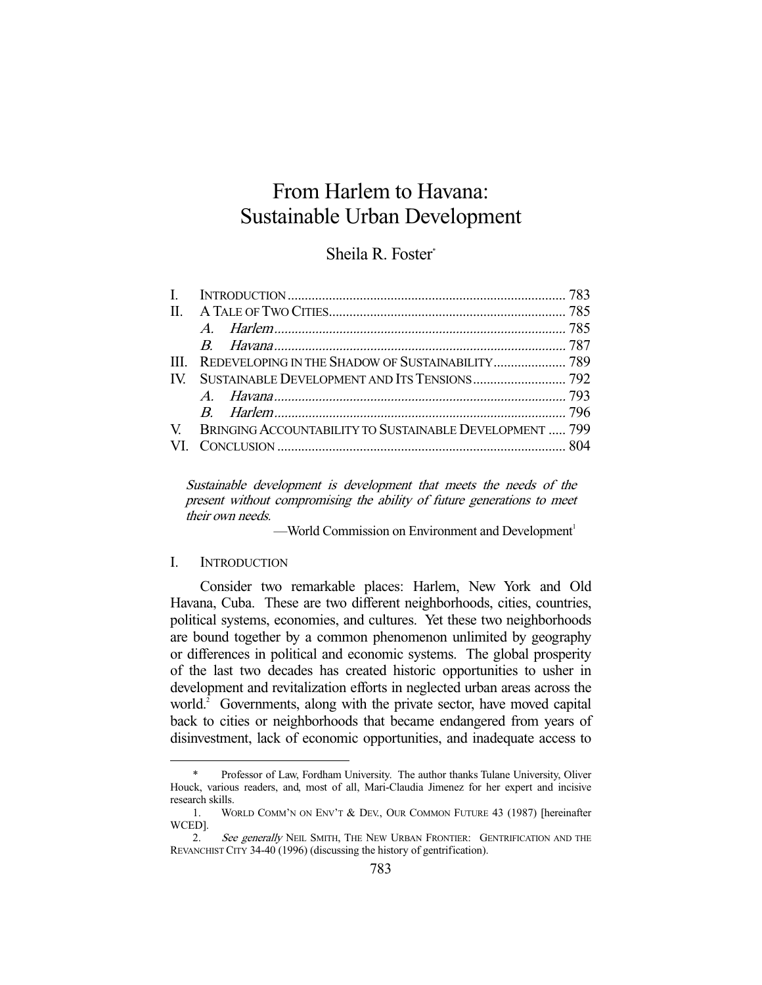# From Harlem to Havana: Sustainable Urban Development

# Sheila R. Foster\*

|  | III. REDEVELOPING IN THE SHADOW OF SUSTAINABILITY 789<br>V. BRINGING ACCOUNTABILITY TO SUSTAINABLE DEVELOPMENT  799 |
|--|---------------------------------------------------------------------------------------------------------------------|

Sustainable development is development that meets the needs of the present without compromising the ability of future generations to meet their own needs.

—World Commission on Environment and Development<sup>1</sup>

# I. INTRODUCTION

-

 Consider two remarkable places: Harlem, New York and Old Havana, Cuba. These are two different neighborhoods, cities, countries, political systems, economies, and cultures. Yet these two neighborhoods are bound together by a common phenomenon unlimited by geography or differences in political and economic systems. The global prosperity of the last two decades has created historic opportunities to usher in development and revitalization efforts in neglected urban areas across the world.<sup>2</sup> Governments, along with the private sector, have moved capital back to cities or neighborhoods that became endangered from years of disinvestment, lack of economic opportunities, and inadequate access to

 <sup>\*</sup> Professor of Law, Fordham University. The author thanks Tulane University, Oliver Houck, various readers, and, most of all, Mari-Claudia Jimenez for her expert and incisive research skills.

 <sup>1.</sup> WORLD COMM'N ON ENV'T & DEV., OUR COMMON FUTURE 43 (1987) [hereinafter WCED].

<sup>2.</sup> See generally NEIL SMITH, THE NEW URBAN FRONTIER: GENTRIFICATION AND THE REVANCHIST CITY 34-40 (1996) (discussing the history of gentrification).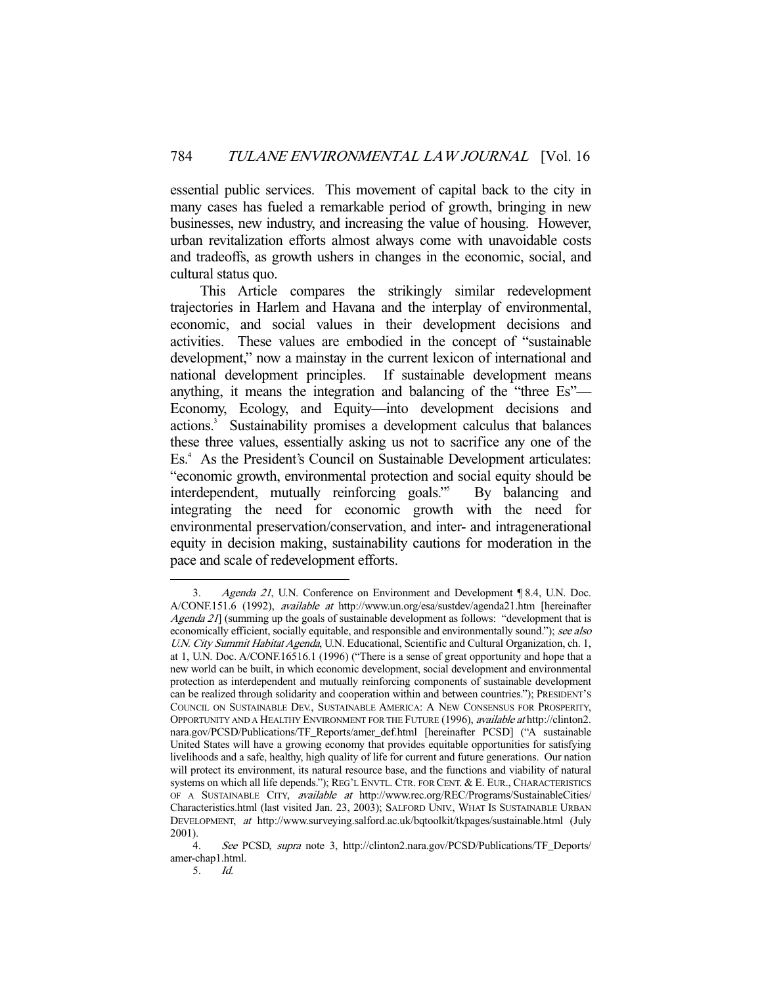essential public services. This movement of capital back to the city in many cases has fueled a remarkable period of growth, bringing in new businesses, new industry, and increasing the value of housing. However, urban revitalization efforts almost always come with unavoidable costs and tradeoffs, as growth ushers in changes in the economic, social, and cultural status quo.

 This Article compares the strikingly similar redevelopment trajectories in Harlem and Havana and the interplay of environmental, economic, and social values in their development decisions and activities. These values are embodied in the concept of "sustainable development," now a mainstay in the current lexicon of international and national development principles. If sustainable development means anything, it means the integration and balancing of the "three Es"— Economy, Ecology, and Equity—into development decisions and actions.<sup>3</sup> Sustainability promises a development calculus that balances these three values, essentially asking us not to sacrifice any one of the Es.<sup>4</sup> As the President's Council on Sustainable Development articulates: "economic growth, environmental protection and social equity should be interdependent, mutually reinforcing goals."<sup>5</sup> By balancing and integrating the need for economic growth with the need for environmental preservation/conservation, and inter- and intragenerational equity in decision making, sustainability cautions for moderation in the pace and scale of redevelopment efforts.

<sup>3.</sup> Agenda 21, U.N. Conference on Environment and Development ¶ 8.4, U.N. Doc. A/CONF.151.6 (1992), available at http://www.un.org/esa/sustdev/agenda21.htm [hereinafter Agenda 21] (summing up the goals of sustainable development as follows: "development that is economically efficient, socially equitable, and responsible and environmentally sound."); see also U.N. City Summit Habitat Agenda, U.N. Educational, Scientific and Cultural Organization, ch. 1, at 1, U.N. Doc. A/CONF.16516.1 (1996) ("There is a sense of great opportunity and hope that a new world can be built, in which economic development, social development and environmental protection as interdependent and mutually reinforcing components of sustainable development can be realized through solidarity and cooperation within and between countries."); PRESIDENT'S COUNCIL ON SUSTAINABLE DEV., SUSTAINABLE AMERICA: A NEW CONSENSUS FOR PROSPERITY, OPPORTUNITY AND A HEALTHY ENVIRONMENT FOR THE FUTURE (1996), available at http://clinton2. nara.gov/PCSD/Publications/TF\_Reports/amer\_def.html [hereinafter PCSD] ("A sustainable United States will have a growing economy that provides equitable opportunities for satisfying livelihoods and a safe, healthy, high quality of life for current and future generations. Our nation will protect its environment, its natural resource base, and the functions and viability of natural systems on which all life depends."); REG'L ENVTL. CTR. FOR CENT. & E. EUR., CHARACTERISTICS OF A SUSTAINABLE CITY, available at http://www.rec.org/REC/Programs/SustainableCities/ Characteristics.html (last visited Jan. 23, 2003); SALFORD UNIV., WHAT IS SUSTAINABLE URBAN DEVELOPMENT, at http://www.surveying.salford.ac.uk/bqtoolkit/tkpages/sustainable.html (July 2001).

<sup>4.</sup> See PCSD, supra note 3, http://clinton2.nara.gov/PCSD/Publications/TF\_Deports/ amer-chap1.html.

 <sup>5.</sup> Id.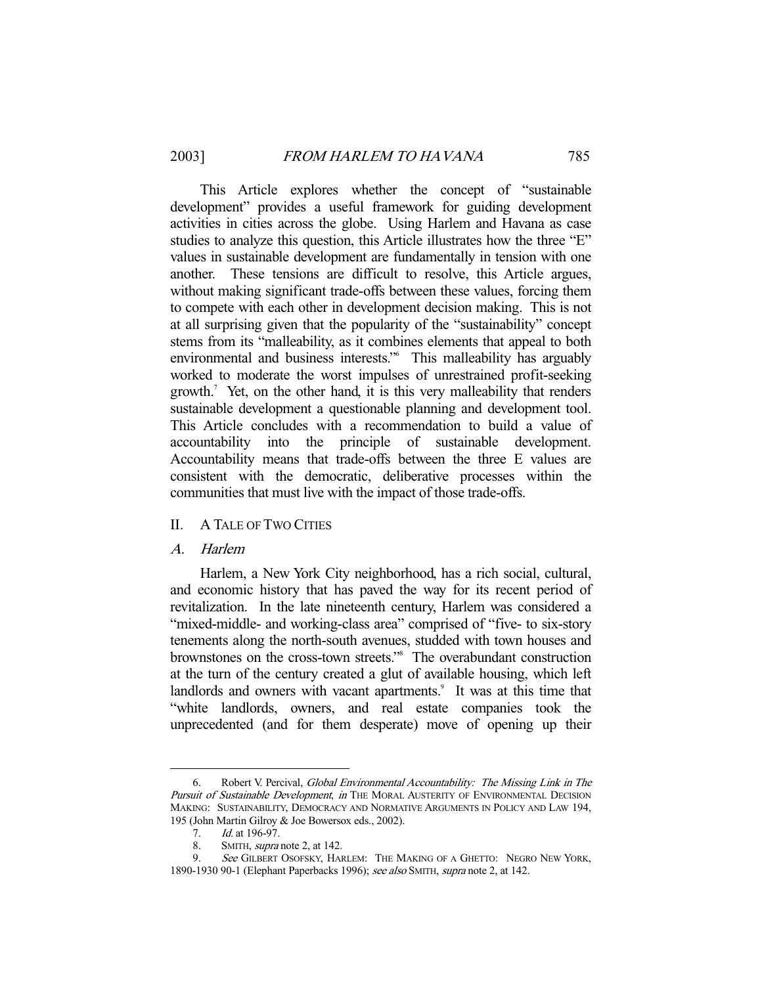This Article explores whether the concept of "sustainable development" provides a useful framework for guiding development activities in cities across the globe. Using Harlem and Havana as case studies to analyze this question, this Article illustrates how the three "E" values in sustainable development are fundamentally in tension with one another. These tensions are difficult to resolve, this Article argues, without making significant trade-offs between these values, forcing them to compete with each other in development decision making. This is not at all surprising given that the popularity of the "sustainability" concept stems from its "malleability, as it combines elements that appeal to both environmental and business interests."<sup>6</sup> This malleability has arguably worked to moderate the worst impulses of unrestrained profit-seeking growth.7 Yet, on the other hand, it is this very malleability that renders sustainable development a questionable planning and development tool. This Article concludes with a recommendation to build a value of accountability into the principle of sustainable development. Accountability means that trade-offs between the three E values are consistent with the democratic, deliberative processes within the communities that must live with the impact of those trade-offs.

#### II. A TALE OF TWO CITIES

#### A. Harlem

 Harlem, a New York City neighborhood, has a rich social, cultural, and economic history that has paved the way for its recent period of revitalization. In the late nineteenth century, Harlem was considered a "mixed-middle- and working-class area" comprised of "five- to six-story tenements along the north-south avenues, studded with town houses and brownstones on the cross-town streets."8 The overabundant construction at the turn of the century created a glut of available housing, which left landlords and owners with vacant apartments.<sup>9</sup> It was at this time that "white landlords, owners, and real estate companies took the unprecedented (and for them desperate) move of opening up their

 <sup>6.</sup> Robert V. Percival, Global Environmental Accountability: The Missing Link in The Pursuit of Sustainable Development, in THE MORAL AUSTERITY OF ENVIRONMENTAL DECISION MAKING: SUSTAINABILITY, DEMOCRACY AND NORMATIVE ARGUMENTS IN POLICY AND LAW 194, 195 (John Martin Gilroy & Joe Bowersox eds., 2002).

<sup>7.</sup> *Id.* at 196-97.

<sup>8.</sup> SMITH, *supra* note 2, at 142.

<sup>9.</sup> See GILBERT OSOFSKY, HARLEM: THE MAKING OF A GHETTO: NEGRO NEW YORK, 1890-1930 90-1 (Elephant Paperbacks 1996); see also SMITH, supra note 2, at 142.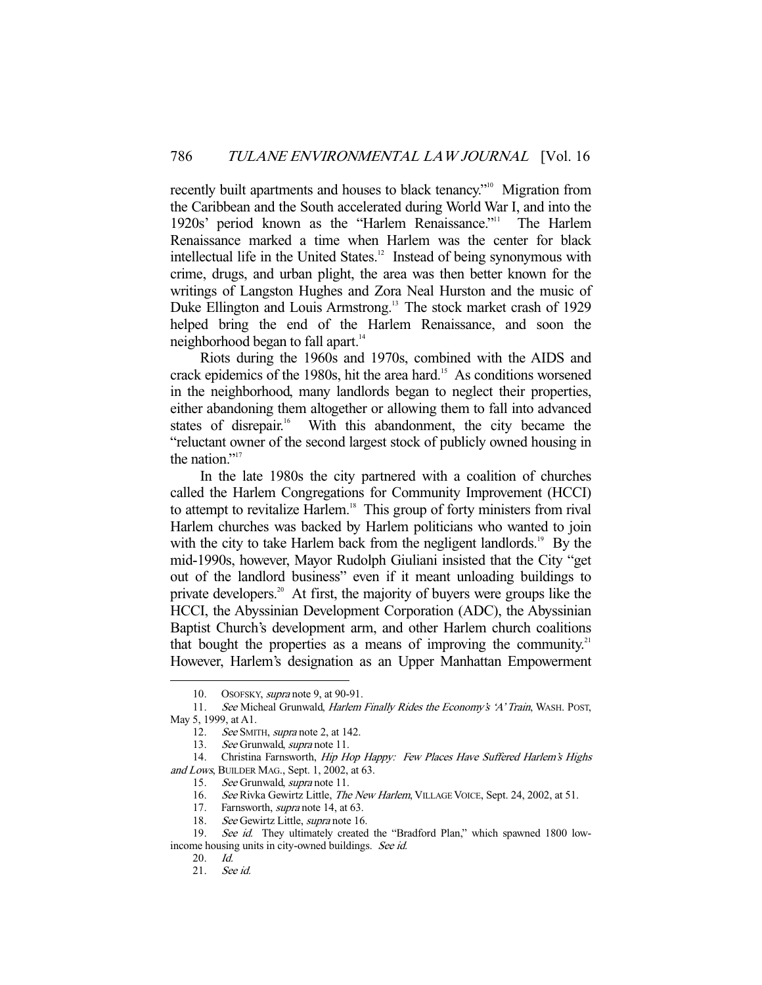recently built apartments and houses to black tenancy."<sup>10</sup> Migration from the Caribbean and the South accelerated during World War I, and into the 1920s' period known as the "Harlem Renaissance."<sup>11</sup> The Harlem Renaissance marked a time when Harlem was the center for black intellectual life in the United States.<sup>12</sup> Instead of being synonymous with crime, drugs, and urban plight, the area was then better known for the writings of Langston Hughes and Zora Neal Hurston and the music of Duke Ellington and Louis Armstrong.13 The stock market crash of 1929 helped bring the end of the Harlem Renaissance, and soon the neighborhood began to fall apart.<sup>14</sup>

 Riots during the 1960s and 1970s, combined with the AIDS and crack epidemics of the 1980s, hit the area hard.<sup>15</sup> As conditions worsened in the neighborhood, many landlords began to neglect their properties, either abandoning them altogether or allowing them to fall into advanced states of disrepair.<sup>16</sup> With this abandonment, the city became the "reluctant owner of the second largest stock of publicly owned housing in the nation." $17$ 

 In the late 1980s the city partnered with a coalition of churches called the Harlem Congregations for Community Improvement (HCCI) to attempt to revitalize Harlem.<sup>18</sup> This group of forty ministers from rival Harlem churches was backed by Harlem politicians who wanted to join with the city to take Harlem back from the negligent landlords.<sup>19</sup> By the mid-1990s, however, Mayor Rudolph Giuliani insisted that the City "get out of the landlord business" even if it meant unloading buildings to private developers.<sup>20</sup> At first, the majority of buyers were groups like the HCCI, the Abyssinian Development Corporation (ADC), the Abyssinian Baptist Church's development arm, and other Harlem church coalitions that bought the properties as a means of improving the community.<sup>21</sup> However, Harlem's designation as an Upper Manhattan Empowerment

<sup>10.</sup> OSOFSKY, *supra* note 9, at 90-91.

<sup>11.</sup> See Micheal Grunwald, *Harlem Finally Rides the Economy's 'A' Train*, WASH. POST, May 5, 1999, at A1.

<sup>12.</sup> See SMITH, supra note 2, at 142.

<sup>13.</sup> See Grunwald, supra note 11.

<sup>14.</sup> Christina Farnsworth, Hip Hop Happy: Few Places Have Suffered Harlem's Highs and Lows, BUILDER MAG., Sept. 1, 2002, at 63.

 <sup>15.</sup> See Grunwald, supra note 11.

<sup>16.</sup> See Rivka Gewirtz Little, The New Harlem, VILLAGE VOICE, Sept. 24, 2002, at 51.

<sup>17.</sup> Farnsworth, *supra* note 14, at 63.

<sup>18.</sup> See Gewirtz Little, supra note 16.

<sup>19.</sup> See id. They ultimately created the "Bradford Plan," which spawned 1800 lowincome housing units in city-owned buildings. See id.

 <sup>20.</sup> Id.

 <sup>21.</sup> See id.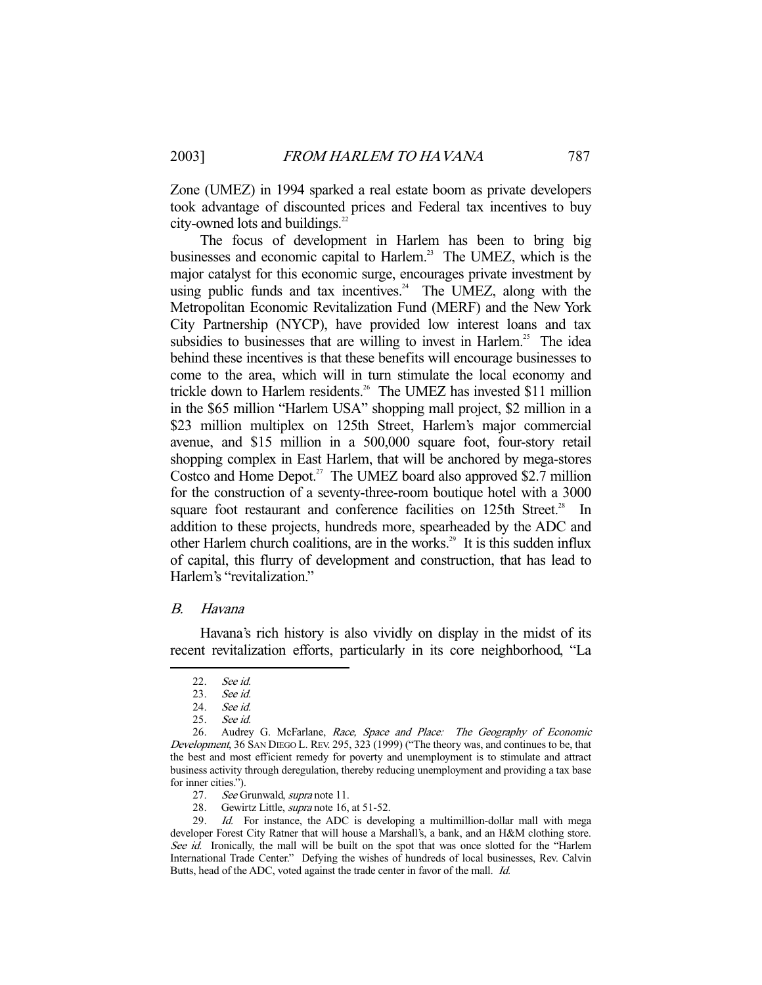Zone (UMEZ) in 1994 sparked a real estate boom as private developers took advantage of discounted prices and Federal tax incentives to buy city-owned lots and buildings.<sup>22</sup>

 The focus of development in Harlem has been to bring big businesses and economic capital to Harlem.<sup>23</sup> The UMEZ, which is the major catalyst for this economic surge, encourages private investment by using public funds and tax incentives.<sup>24</sup> The UMEZ, along with the Metropolitan Economic Revitalization Fund (MERF) and the New York City Partnership (NYCP), have provided low interest loans and tax subsidies to businesses that are willing to invest in Harlem.<sup>25</sup> The idea behind these incentives is that these benefits will encourage businesses to come to the area, which will in turn stimulate the local economy and trickle down to Harlem residents.<sup>26</sup> The UMEZ has invested \$11 million in the \$65 million "Harlem USA" shopping mall project, \$2 million in a \$23 million multiplex on 125th Street, Harlem's major commercial avenue, and \$15 million in a 500,000 square foot, four-story retail shopping complex in East Harlem, that will be anchored by mega-stores Costco and Home Depot.<sup>27</sup> The UMEZ board also approved \$2.7 million for the construction of a seventy-three-room boutique hotel with a 3000 square foot restaurant and conference facilities on 125th Street.<sup>28</sup> In addition to these projects, hundreds more, spearheaded by the ADC and other Harlem church coalitions, are in the works.<sup>29</sup> It is this sudden influx of capital, this flurry of development and construction, that has lead to Harlem's "revitalization."

#### B. Havana

 Havana's rich history is also vividly on display in the midst of its recent revitalization efforts, particularly in its core neighborhood, "La

 <sup>22.</sup> See id.

<sup>23.</sup> See id.<br>24. See id.

See id.

 <sup>25.</sup> See id.

 <sup>26.</sup> Audrey G. McFarlane, Race, Space and Place: The Geography of Economic Development, 36 SAN DIEGO L. REV. 295, 323 (1999) ("The theory was, and continues to be, that the best and most efficient remedy for poverty and unemployment is to stimulate and attract business activity through deregulation, thereby reducing unemployment and providing a tax base for inner cities.").

<sup>27.</sup> See Grunwald, supra note 11.

<sup>28.</sup> Gewirtz Little, *supra* note 16, at 51-52.

<sup>29.</sup> Id. For instance, the ADC is developing a multimillion-dollar mall with mega developer Forest City Ratner that will house a Marshall's, a bank, and an H&M clothing store. See id. Ironically, the mall will be built on the spot that was once slotted for the "Harlem" International Trade Center." Defying the wishes of hundreds of local businesses, Rev. Calvin Butts, head of the ADC, voted against the trade center in favor of the mall. Id.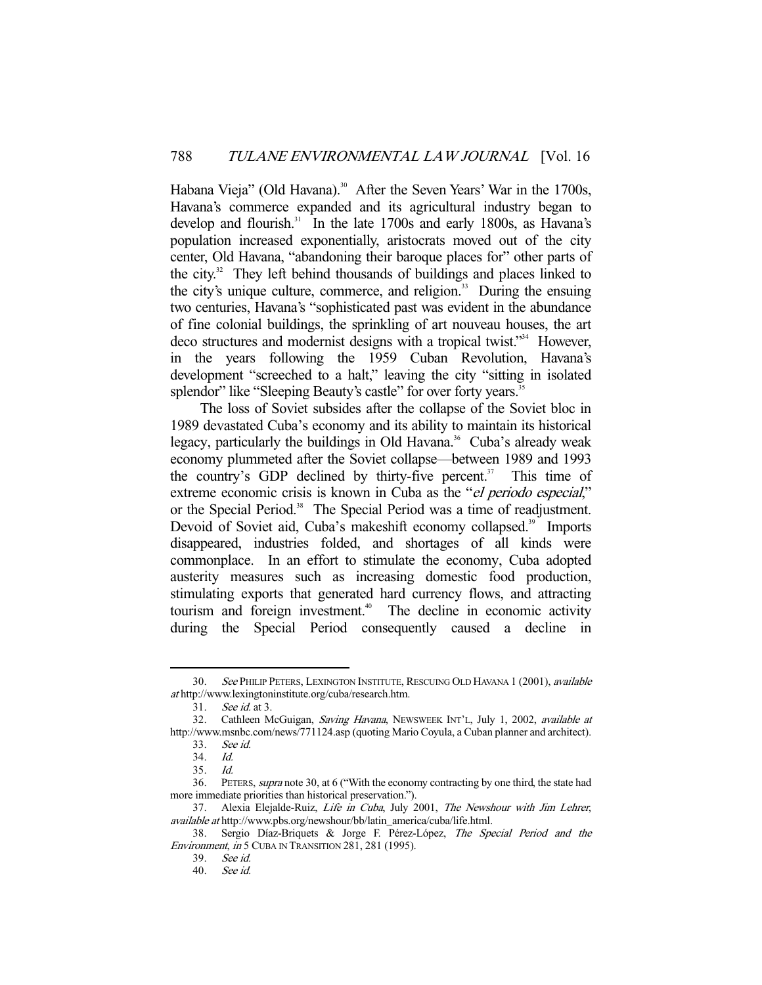Habana Vieja" (Old Havana).<sup>30</sup> After the Seven Years' War in the 1700s, Havana's commerce expanded and its agricultural industry began to develop and flourish.<sup>31</sup> In the late 1700s and early 1800s, as Havana's population increased exponentially, aristocrats moved out of the city center, Old Havana, "abandoning their baroque places for" other parts of the city.32 They left behind thousands of buildings and places linked to the city's unique culture, commerce, and religion. $33$  During the ensuing two centuries, Havana's "sophisticated past was evident in the abundance of fine colonial buildings, the sprinkling of art nouveau houses, the art deco structures and modernist designs with a tropical twist."34 However, in the years following the 1959 Cuban Revolution, Havana's development "screeched to a halt," leaving the city "sitting in isolated splendor" like "Sleeping Beauty's castle" for over forty years.<sup>35</sup>

 The loss of Soviet subsides after the collapse of the Soviet bloc in 1989 devastated Cuba's economy and its ability to maintain its historical legacy, particularly the buildings in Old Havana.<sup>36</sup> Cuba's already weak economy plummeted after the Soviet collapse—between 1989 and 1993 the country's GDP declined by thirty-five percent.<sup>37</sup> This time of extreme economic crisis is known in Cuba as the "el periodo especial," or the Special Period.<sup>38</sup> The Special Period was a time of readjustment. Devoid of Soviet aid, Cuba's makeshift economy collapsed.<sup>39</sup> Imports disappeared, industries folded, and shortages of all kinds were commonplace. In an effort to stimulate the economy, Cuba adopted austerity measures such as increasing domestic food production, stimulating exports that generated hard currency flows, and attracting tourism and foreign investment.<sup>40</sup> The decline in economic activity during the Special Period consequently caused a decline in

<sup>30.</sup> See PHILIP PETERS, LEXINGTON INSTITUTE, RESCUING OLD HAVANA 1 (2001), available at http://www.lexingtoninstitute.org/cuba/research.htm.

 <sup>31.</sup> See id. at 3.

<sup>32.</sup> Cathleen McGuigan, Saving Havana, NEWSWEEK INT'L, July 1, 2002, available at http://www.msnbc.com/news/771124.asp (quoting Mario Coyula, a Cuban planner and architect).

 <sup>33.</sup> See id.

 <sup>34.</sup> Id.

 <sup>35.</sup> Id.

 <sup>36.</sup> PETERS, supra note 30, at 6 ("With the economy contracting by one third, the state had more immediate priorities than historical preservation.").

<sup>37.</sup> Alexia Elejalde-Ruiz, Life in Cuba, July 2001, The Newshour with Jim Lehrer, available at http://www.pbs.org/newshour/bb/latin\_america/cuba/life.html.

 <sup>38.</sup> Sergio Díaz-Briquets & Jorge F. Pérez-López, The Special Period and the Environment, in 5 CUBA IN TRANSITION 281, 281 (1995).

 <sup>39.</sup> See id.

 <sup>40.</sup> See id.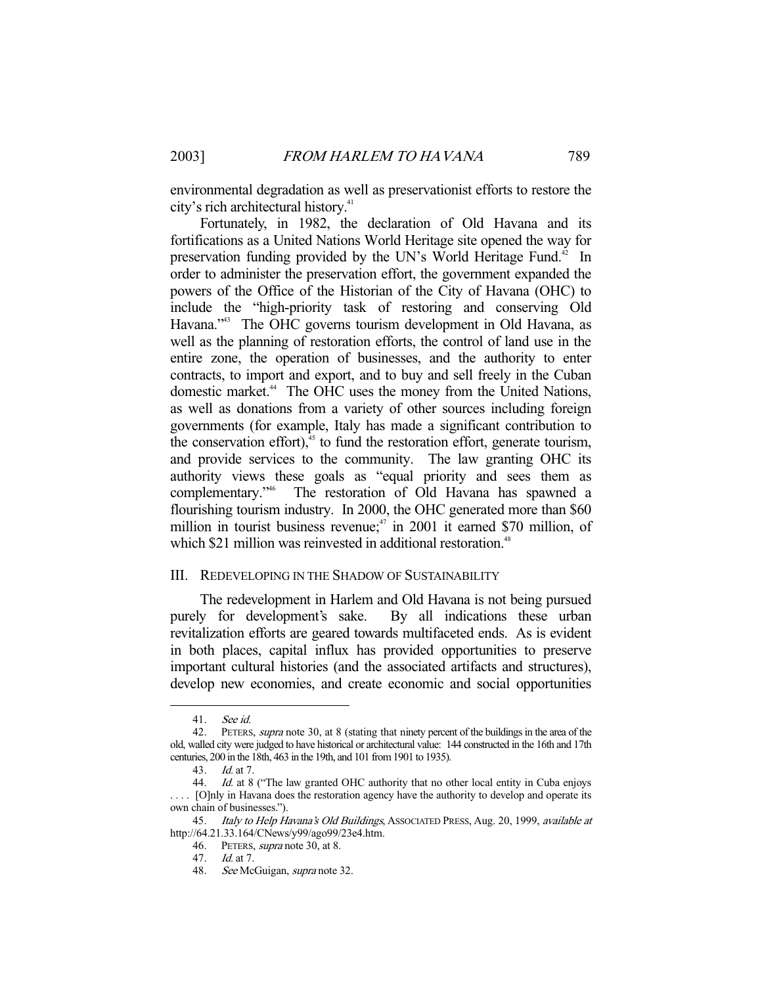environmental degradation as well as preservationist efforts to restore the city's rich architectural history.<sup>41</sup>

 Fortunately, in 1982, the declaration of Old Havana and its fortifications as a United Nations World Heritage site opened the way for preservation funding provided by the UN's World Heritage Fund.<sup>42</sup> In order to administer the preservation effort, the government expanded the powers of the Office of the Historian of the City of Havana (OHC) to include the "high-priority task of restoring and conserving Old Havana.<sup>343</sup> The OHC governs tourism development in Old Havana, as well as the planning of restoration efforts, the control of land use in the entire zone, the operation of businesses, and the authority to enter contracts, to import and export, and to buy and sell freely in the Cuban domestic market.<sup>44</sup> The OHC uses the money from the United Nations, as well as donations from a variety of other sources including foreign governments (for example, Italy has made a significant contribution to the conservation effort), $45$  to fund the restoration effort, generate tourism, and provide services to the community. The law granting OHC its authority views these goals as "equal priority and sees them as complementary."<sup>46</sup> The restoration of Old Havana has spawned a The restoration of Old Havana has spawned a flourishing tourism industry. In 2000, the OHC generated more than \$60 million in tourist business revenue;<sup>47</sup> in 2001 it earned \$70 million, of which \$21 million was reinvested in additional restoration.<sup>48</sup>

# III. REDEVELOPING IN THE SHADOW OF SUSTAINABILITY

 The redevelopment in Harlem and Old Havana is not being pursued purely for development's sake. By all indications these urban revitalization efforts are geared towards multifaceted ends. As is evident in both places, capital influx has provided opportunities to preserve important cultural histories (and the associated artifacts and structures), develop new economies, and create economic and social opportunities

 <sup>41.</sup> See id.

<sup>42.</sup> PETERS, supra note 30, at 8 (stating that ninety percent of the buildings in the area of the old, walled city were judged to have historical or architectural value: 144 constructed in the 16th and 17th centuries, 200 in the 18th, 463 in the 19th, and 101 from 1901 to 1935).

 <sup>43.</sup> Id. at 7.

<sup>44.</sup> *Id.* at 8 ("The law granted OHC authority that no other local entity in Cuba enjoys .... [O]nly in Havana does the restoration agency have the authority to develop and operate its own chain of businesses.").

<sup>45.</sup> Italy to Help Havana's Old Buildings, Associated Press, Aug. 20, 1999, available at http://64.21.33.164/CNews/y99/ago99/23e4.htm.

 <sup>46.</sup> PETERS, supra note 30, at 8.

 <sup>47.</sup> Id. at 7.

<sup>48.</sup> See McGuigan, supra note 32.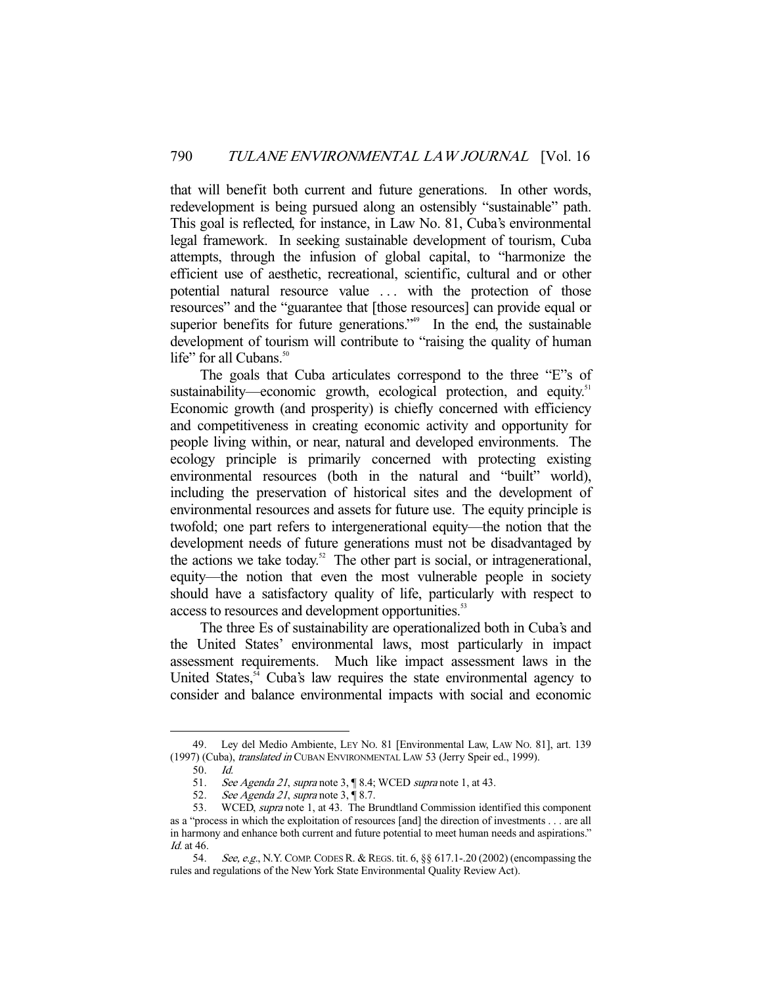that will benefit both current and future generations. In other words, redevelopment is being pursued along an ostensibly "sustainable" path. This goal is reflected, for instance, in Law No. 81, Cuba's environmental legal framework. In seeking sustainable development of tourism, Cuba attempts, through the infusion of global capital, to "harmonize the efficient use of aesthetic, recreational, scientific, cultural and or other potential natural resource value ... with the protection of those resources" and the "guarantee that [those resources] can provide equal or superior benefits for future generations."<sup>49</sup> In the end, the sustainable development of tourism will contribute to "raising the quality of human life" for all Cubans. $50$ 

 The goals that Cuba articulates correspond to the three "E"s of sustainability—economic growth, ecological protection, and equity.<sup>51</sup> Economic growth (and prosperity) is chiefly concerned with efficiency and competitiveness in creating economic activity and opportunity for people living within, or near, natural and developed environments. The ecology principle is primarily concerned with protecting existing environmental resources (both in the natural and "built" world), including the preservation of historical sites and the development of environmental resources and assets for future use. The equity principle is twofold; one part refers to intergenerational equity—the notion that the development needs of future generations must not be disadvantaged by the actions we take today.<sup>52</sup> The other part is social, or intragenerational, equity—the notion that even the most vulnerable people in society should have a satisfactory quality of life, particularly with respect to access to resources and development opportunities.<sup>53</sup>

 The three Es of sustainability are operationalized both in Cuba's and the United States' environmental laws, most particularly in impact assessment requirements. Much like impact assessment laws in the United States,<sup>54</sup> Cuba's law requires the state environmental agency to consider and balance environmental impacts with social and economic

 <sup>49.</sup> Ley del Medio Ambiente, LEY NO. 81 [Environmental Law, LAW NO. 81], art. 139 (1997) (Cuba), translated in CUBAN ENVIRONMENTAL LAW 53 (Jerry Speir ed., 1999).

 <sup>50.</sup> Id.

<sup>51.</sup> See Agenda 21, supra note 3, | 8.4; WCED supra note 1, at 43.

<sup>52.</sup> See Agenda 21, supra note 3,  $\llbracket$  8.7.

 <sup>53.</sup> WCED, supra note 1, at 43. The Brundtland Commission identified this component as a "process in which the exploitation of resources [and] the direction of investments . . . are all in harmony and enhance both current and future potential to meet human needs and aspirations." Id. at 46.

 <sup>54.</sup> See, e.g., N.Y. COMP. CODES R. & REGS. tit. 6, §§ 617.1-.20 (2002) (encompassing the rules and regulations of the New York State Environmental Quality Review Act).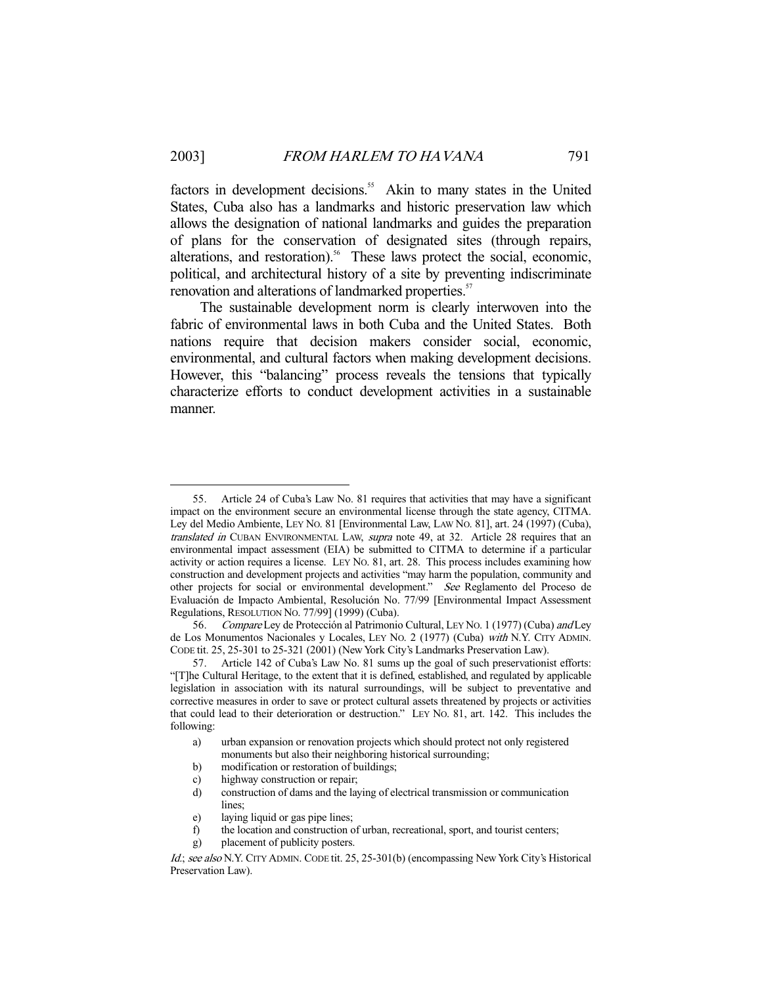-

factors in development decisions.<sup>55</sup> Akin to many states in the United States, Cuba also has a landmarks and historic preservation law which allows the designation of national landmarks and guides the preparation of plans for the conservation of designated sites (through repairs, alterations, and restoration).<sup>56</sup> These laws protect the social, economic, political, and architectural history of a site by preventing indiscriminate renovation and alterations of landmarked properties.<sup>57</sup>

 The sustainable development norm is clearly interwoven into the fabric of environmental laws in both Cuba and the United States. Both nations require that decision makers consider social, economic, environmental, and cultural factors when making development decisions. However, this "balancing" process reveals the tensions that typically characterize efforts to conduct development activities in a sustainable manner.

- e) laying liquid or gas pipe lines;
- f) the location and construction of urban, recreational, sport, and tourist centers; g) placement of publicity posters.

 <sup>55.</sup> Article 24 of Cuba's Law No. 81 requires that activities that may have a significant impact on the environment secure an environmental license through the state agency, CITMA. Ley del Medio Ambiente, LEY NO. 81 [Environmental Law, LAW NO. 81], art. 24 (1997) (Cuba), translated in CUBAN ENVIRONMENTAL LAW, supra note 49, at 32. Article 28 requires that an environmental impact assessment (EIA) be submitted to CITMA to determine if a particular activity or action requires a license. LEY NO. 81, art. 28. This process includes examining how construction and development projects and activities "may harm the population, community and other projects for social or environmental development." See Reglamento del Proceso de Evaluación de Impacto Ambiental, Resolución No. 77/99 [Environmental Impact Assessment Regulations, RESOLUTION NO. 77/99] (1999) (Cuba).

 <sup>56.</sup> Compare Ley de Protección al Patrimonio Cultural, LEY NO. 1 (1977) (Cuba) and Ley de Los Monumentos Nacionales y Locales, LEY NO. 2 (1977) (Cuba) with N.Y. CITY ADMIN. CODE tit. 25, 25-301 to 25-321 (2001) (New York City's Landmarks Preservation Law).

 <sup>57.</sup> Article 142 of Cuba's Law No. 81 sums up the goal of such preservationist efforts: "[T]he Cultural Heritage, to the extent that it is defined, established, and regulated by applicable legislation in association with its natural surroundings, will be subject to preventative and corrective measures in order to save or protect cultural assets threatened by projects or activities that could lead to their deterioration or destruction." LEY NO. 81, art. 142. This includes the following:

a) urban expansion or renovation projects which should protect not only registered monuments but also their neighboring historical surrounding;

b) modification or restoration of buildings;

c) highway construction or repair;

d) construction of dams and the laying of electrical transmission or communication lines;

Id.; see also N.Y. CITY ADMIN. CODE tit. 25, 25-301(b) (encompassing New York City's Historical Preservation Law).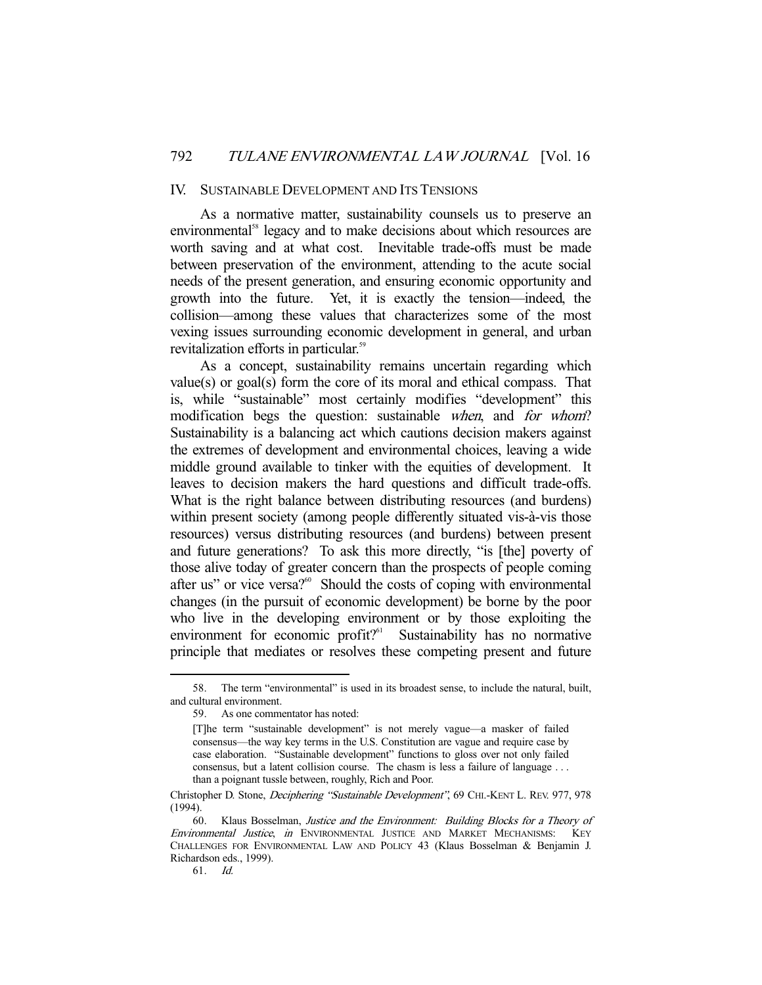#### IV. SUSTAINABLE DEVELOPMENT AND ITS TENSIONS

 As a normative matter, sustainability counsels us to preserve an environmental<sup>58</sup> legacy and to make decisions about which resources are worth saving and at what cost. Inevitable trade-offs must be made between preservation of the environment, attending to the acute social needs of the present generation, and ensuring economic opportunity and growth into the future. Yet, it is exactly the tension—indeed, the collision—among these values that characterizes some of the most vexing issues surrounding economic development in general, and urban revitalization efforts in particular.<sup>59</sup>

 As a concept, sustainability remains uncertain regarding which value(s) or goal(s) form the core of its moral and ethical compass. That is, while "sustainable" most certainly modifies "development" this modification begs the question: sustainable *when*, and *for whom*? Sustainability is a balancing act which cautions decision makers against the extremes of development and environmental choices, leaving a wide middle ground available to tinker with the equities of development. It leaves to decision makers the hard questions and difficult trade-offs. What is the right balance between distributing resources (and burdens) within present society (among people differently situated vis-à-vis those resources) versus distributing resources (and burdens) between present and future generations? To ask this more directly, "is [the] poverty of those alive today of greater concern than the prospects of people coming after us" or vice versa?<sup>60</sup> Should the costs of coping with environmental changes (in the pursuit of economic development) be borne by the poor who live in the developing environment or by those exploiting the environment for economic profit? $61$  Sustainability has no normative principle that mediates or resolves these competing present and future

 <sup>58.</sup> The term "environmental" is used in its broadest sense, to include the natural, built, and cultural environment.

 <sup>59.</sup> As one commentator has noted:

<sup>[</sup>T]he term "sustainable development" is not merely vague—a masker of failed consensus—the way key terms in the U.S. Constitution are vague and require case by case elaboration. "Sustainable development" functions to gloss over not only failed consensus, but a latent collision course. The chasm is less a failure of language . . . than a poignant tussle between, roughly, Rich and Poor.

Christopher D. Stone, Deciphering "Sustainable Development", 69 CHI.-KENT L. REV. 977, 978 (1994).

 <sup>60.</sup> Klaus Bosselman, Justice and the Environment: Building Blocks for a Theory of Environmental Justice, in ENVIRONMENTAL JUSTICE AND MARKET MECHANISMS: KEY CHALLENGES FOR ENVIRONMENTAL LAW AND POLICY 43 (Klaus Bosselman & Benjamin J. Richardson eds., 1999).

 <sup>61.</sup> Id.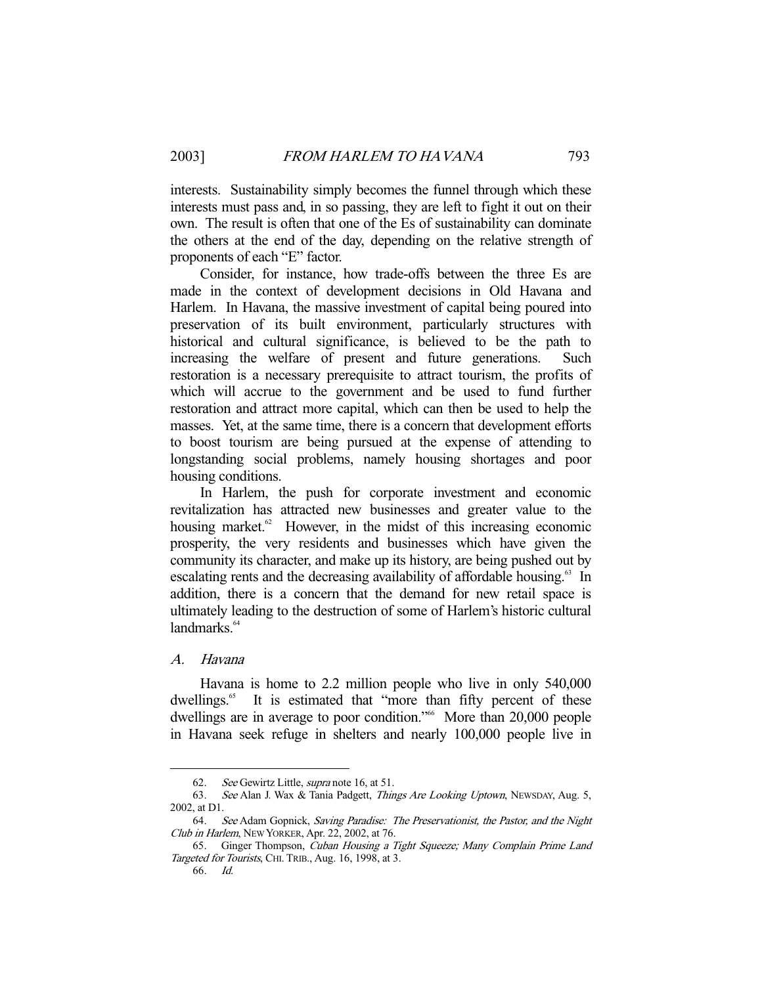interests. Sustainability simply becomes the funnel through which these interests must pass and, in so passing, they are left to fight it out on their own. The result is often that one of the Es of sustainability can dominate the others at the end of the day, depending on the relative strength of proponents of each "E" factor.

 Consider, for instance, how trade-offs between the three Es are made in the context of development decisions in Old Havana and Harlem. In Havana, the massive investment of capital being poured into preservation of its built environment, particularly structures with historical and cultural significance, is believed to be the path to increasing the welfare of present and future generations. Such restoration is a necessary prerequisite to attract tourism, the profits of which will accrue to the government and be used to fund further restoration and attract more capital, which can then be used to help the masses. Yet, at the same time, there is a concern that development efforts to boost tourism are being pursued at the expense of attending to longstanding social problems, namely housing shortages and poor housing conditions.

 In Harlem, the push for corporate investment and economic revitalization has attracted new businesses and greater value to the housing market.<sup>62</sup> However, in the midst of this increasing economic prosperity, the very residents and businesses which have given the community its character, and make up its history, are being pushed out by escalating rents and the decreasing availability of affordable housing.<sup>63</sup> In addition, there is a concern that the demand for new retail space is ultimately leading to the destruction of some of Harlem's historic cultural landmarks.<sup>64</sup>

#### A. Havana

 Havana is home to 2.2 million people who live in only 540,000 dwellings.<sup>65</sup> It is estimated that "more than fifty percent of these dwellings are in average to poor condition."<sup>66</sup> More than 20,000 people in Havana seek refuge in shelters and nearly 100,000 people live in

 <sup>62.</sup> See Gewirtz Little, supra note 16, at 51.

<sup>63.</sup> See Alan J. Wax & Tania Padgett, Things Are Looking Uptown, NEWSDAY, Aug. 5, 2002, at D1.

 <sup>64.</sup> See Adam Gopnick, Saving Paradise: The Preservationist, the Pastor, and the Night Club in Harlem, NEW YORKER, Apr. 22, 2002, at 76.

<sup>65.</sup> Ginger Thompson, Cuban Housing a Tight Squeeze; Many Complain Prime Land Targeted for Tourists, CHI. TRIB., Aug. 16, 1998, at 3.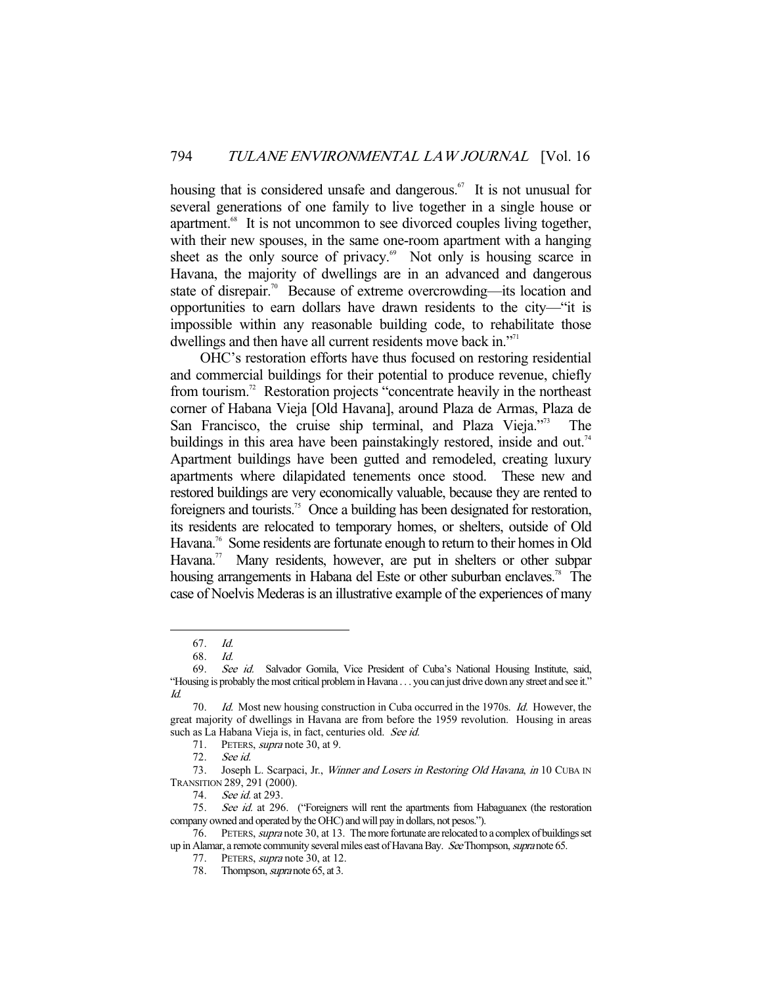housing that is considered unsafe and dangerous.<sup>67</sup> It is not unusual for several generations of one family to live together in a single house or apartment.<sup>68</sup> It is not uncommon to see divorced couples living together, with their new spouses, in the same one-room apartment with a hanging sheet as the only source of privacy.<sup>69</sup> Not only is housing scarce in Havana, the majority of dwellings are in an advanced and dangerous state of disrepair.<sup>70</sup> Because of extreme overcrowding—its location and opportunities to earn dollars have drawn residents to the city—"it is impossible within any reasonable building code, to rehabilitate those dwellings and then have all current residents move back in."<sup>71</sup>

 OHC's restoration efforts have thus focused on restoring residential and commercial buildings for their potential to produce revenue, chiefly from tourism.<sup>72</sup> Restoration projects "concentrate heavily in the northeast corner of Habana Vieja [Old Havana], around Plaza de Armas, Plaza de San Francisco, the cruise ship terminal, and Plaza Vieja."<sup>73</sup> The buildings in this area have been painstakingly restored, inside and out.<sup>74</sup> Apartment buildings have been gutted and remodeled, creating luxury apartments where dilapidated tenements once stood. These new and restored buildings are very economically valuable, because they are rented to foreigners and tourists.<sup>75</sup> Once a building has been designated for restoration, its residents are relocated to temporary homes, or shelters, outside of Old Havana.<sup>76</sup> Some residents are fortunate enough to return to their homes in Old Havana.<sup>77</sup> Many residents, however, are put in shelters or other subpar housing arrangements in Habana del Este or other suburban enclaves.<sup>78</sup> The case of Noelvis Mederas is an illustrative example of the experiences of many

 <sup>67.</sup> Id.

 <sup>68.</sup> Id.

 <sup>69.</sup> See id. Salvador Gomila, Vice President of Cuba's National Housing Institute, said, "Housing is probably the most critical problem in Havana . . . you can just drive down any street and see it." Id.

 <sup>70.</sup> Id. Most new housing construction in Cuba occurred in the 1970s. Id. However, the great majority of dwellings in Havana are from before the 1959 revolution. Housing in areas such as La Habana Vieja is, in fact, centuries old. See id.

<sup>71.</sup> PETERS, *supra* note 30, at 9.

 <sup>72.</sup> See id.

<sup>73.</sup> Joseph L. Scarpaci, Jr., *Winner and Losers in Restoring Old Havana, in* 10 CUBA IN TRANSITION 289, 291 (2000).

<sup>74.</sup> See id. at 293.

 <sup>75.</sup> See id. at 296. ("Foreigners will rent the apartments from Habaguanex (the restoration company owned and operated by the OHC) and will pay in dollars, not pesos.").

 <sup>76.</sup> PETERS, supra note 30, at 13. The more fortunate are relocated to a complex of buildings set up in Alamar, a remote community several miles east of Havana Bay. See Thompson, supra note 65.

<sup>77.</sup> PETERS, *supra* note 30, at 12.

<sup>78.</sup> Thompson, *supra* note 65, at 3.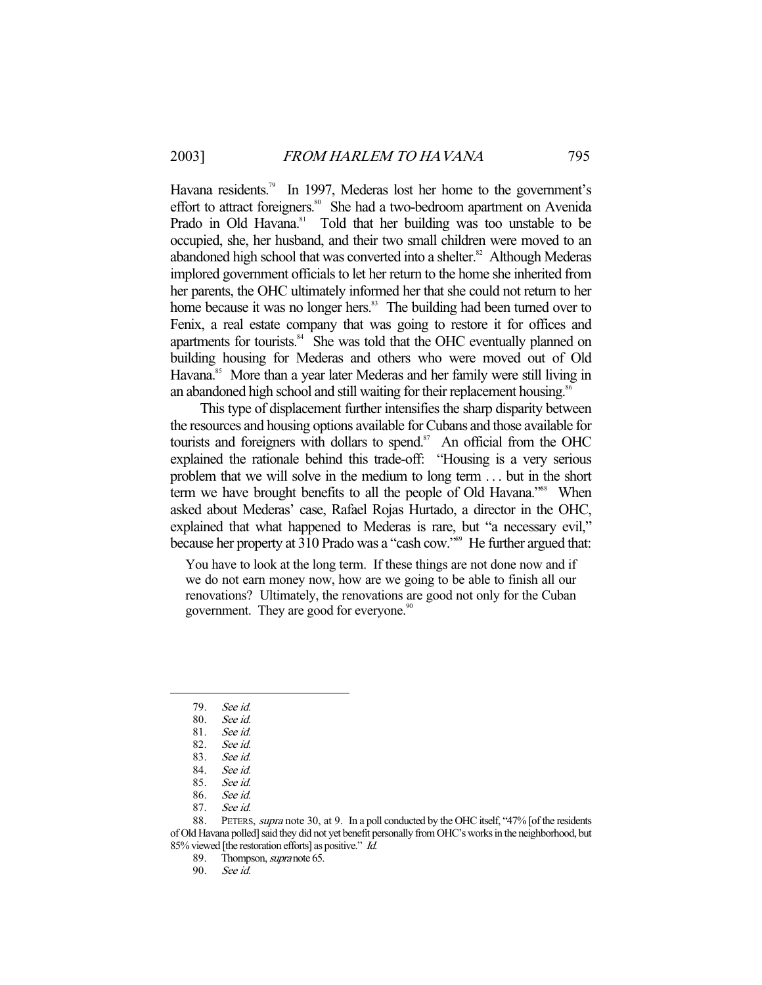Havana residents.<sup>79</sup> In 1997, Mederas lost her home to the government's effort to attract foreigners.<sup>80</sup> She had a two-bedroom apartment on Avenida Prado in Old Havana.<sup>81</sup> Told that her building was too unstable to be occupied, she, her husband, and their two small children were moved to an abandoned high school that was converted into a shelter.<sup>82</sup> Although Mederas implored government officials to let her return to the home she inherited from her parents, the OHC ultimately informed her that she could not return to her home because it was no longer hers.<sup>83</sup> The building had been turned over to Fenix, a real estate company that was going to restore it for offices and apartments for tourists.<sup>84</sup> She was told that the OHC eventually planned on building housing for Mederas and others who were moved out of Old Havana.<sup>85</sup> More than a year later Mederas and her family were still living in an abandoned high school and still waiting for their replacement housing.<sup>86</sup>

 This type of displacement further intensifies the sharp disparity between the resources and housing options available for Cubans and those available for tourists and foreigners with dollars to spend. $87$  An official from the OHC explained the rationale behind this trade-off: "Housing is a very serious problem that we will solve in the medium to long term . . . but in the short term we have brought benefits to all the people of Old Havana.<sup>588</sup> When asked about Mederas' case, Rafael Rojas Hurtado, a director in the OHC, explained that what happened to Mederas is rare, but "a necessary evil," because her property at 310 Prado was a "cash cow."<sup>89</sup> He further argued that:

You have to look at the long term. If these things are not done now and if we do not earn money now, how are we going to be able to finish all our renovations? Ultimately, the renovations are good not only for the Cuban government. They are good for everyone.<sup>90</sup>

 <sup>79.</sup> See id.

 <sup>80.</sup> See id.

 <sup>81.</sup> See id.

 <sup>82.</sup> See id.

 <sup>83.</sup> See id.

 <sup>84.</sup> See id.

 <sup>85.</sup> See id.

 <sup>86.</sup> See id.

 <sup>87.</sup> See id.

<sup>88.</sup> PETERS, *supra* note 30, at 9. In a poll conducted by the OHC itself, "47% [of the residents of Old Havana polled] said they did not yet benefit personally from OHC's works in the neighborhood, but 85% viewed [the restoration efforts] as positive." Id.

 <sup>89.</sup> Thompson, supra note 65.

 <sup>90.</sup> See id.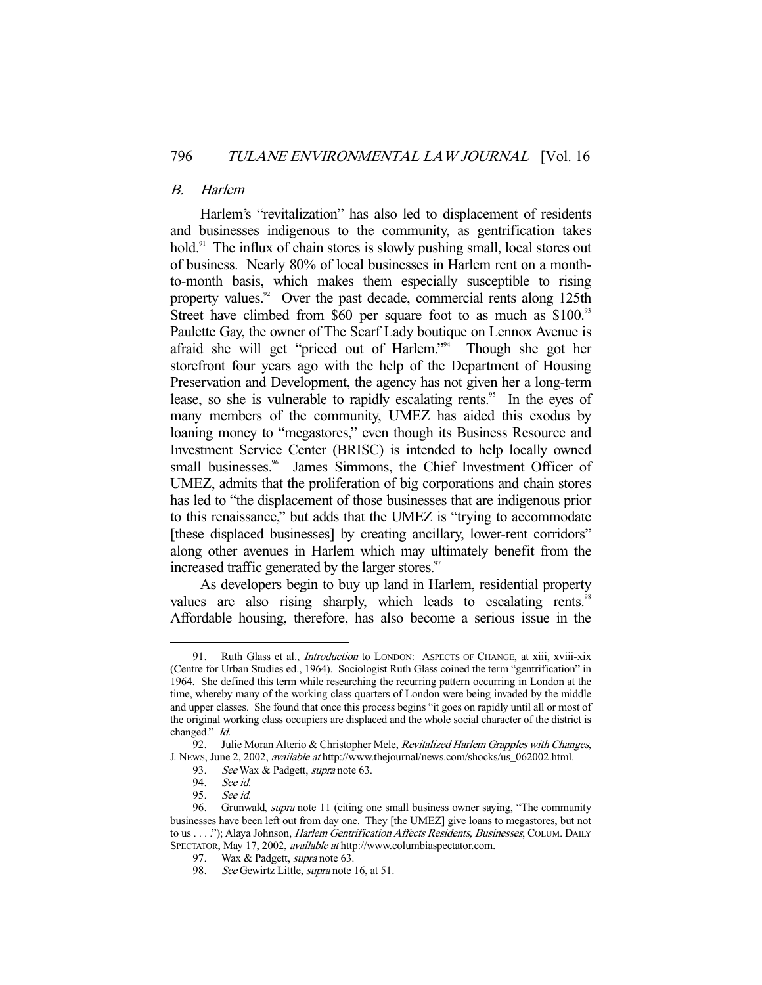### B. Harlem

 Harlem's "revitalization" has also led to displacement of residents and businesses indigenous to the community, as gentrification takes hold.<sup>91</sup> The influx of chain stores is slowly pushing small, local stores out of business. Nearly 80% of local businesses in Harlem rent on a monthto-month basis, which makes them especially susceptible to rising property values.<sup>92</sup> Over the past decade, commercial rents along 125th Street have climbed from  $$60$  per square foot to as much as  $$100.<sup>93</sup>$ Paulette Gay, the owner of The Scarf Lady boutique on Lennox Avenue is afraid she will get "priced out of Harlem."94 Though she got her storefront four years ago with the help of the Department of Housing Preservation and Development, the agency has not given her a long-term lease, so she is vulnerable to rapidly escalating rents.<sup>95</sup> In the eyes of many members of the community, UMEZ has aided this exodus by loaning money to "megastores," even though its Business Resource and Investment Service Center (BRISC) is intended to help locally owned small businesses.<sup>96</sup> James Simmons, the Chief Investment Officer of UMEZ, admits that the proliferation of big corporations and chain stores has led to "the displacement of those businesses that are indigenous prior to this renaissance," but adds that the UMEZ is "trying to accommodate [these displaced businesses] by creating ancillary, lower-rent corridors" along other avenues in Harlem which may ultimately benefit from the increased traffic generated by the larger stores.<sup>97</sup>

 As developers begin to buy up land in Harlem, residential property values are also rising sharply, which leads to escalating rents.<sup>98</sup> Affordable housing, therefore, has also become a serious issue in the

<sup>91.</sup> Ruth Glass et al., *Introduction* to LONDON: ASPECTS OF CHANGE, at xiii, xviii-xix (Centre for Urban Studies ed., 1964). Sociologist Ruth Glass coined the term "gentrification" in 1964. She defined this term while researching the recurring pattern occurring in London at the time, whereby many of the working class quarters of London were being invaded by the middle and upper classes. She found that once this process begins "it goes on rapidly until all or most of the original working class occupiers are displaced and the whole social character of the district is changed." Id.

<sup>92.</sup> Julie Moran Alterio & Christopher Mele, Revitalized Harlem Grapples with Changes, J. News, June 2, 2002, *available at* http://www.thejournal/news.com/shocks/us\_062002.html.

<sup>93.</sup> See Wax & Padgett, *supra* note 63.<br>94. See id.

See id.

 <sup>95.</sup> See id.

<sup>96.</sup> Grunwald, *supra* note 11 (citing one small business owner saying, "The community businesses have been left out from day one. They [the UMEZ] give loans to megastores, but not to us . . . ."); Alaya Johnson, *Harlem Gentrification Affects Residents, Businesses*, COLUM. DAILY SPECTATOR, May 17, 2002, available at http://www.columbiaspectator.com.

<sup>97.</sup> Wax & Padgett, *supra* note 63.

<sup>98.</sup> See Gewirtz Little, supra note 16, at 51.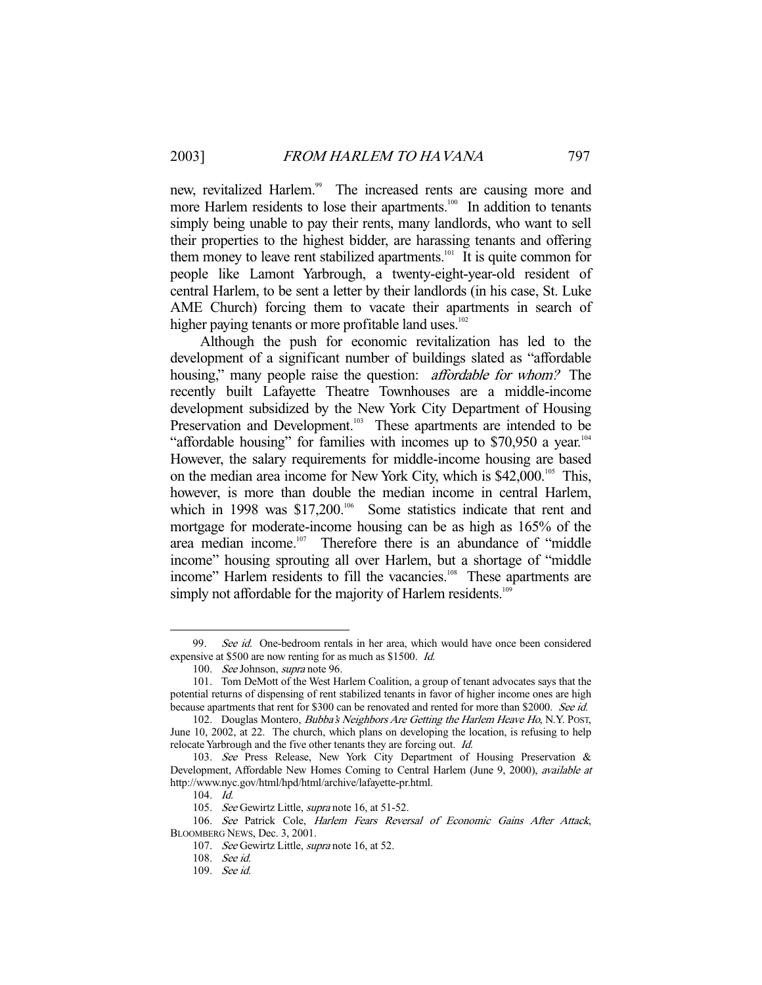new, revitalized Harlem.<sup>99</sup> The increased rents are causing more and more Harlem residents to lose their apartments.<sup>100</sup> In addition to tenants simply being unable to pay their rents, many landlords, who want to sell their properties to the highest bidder, are harassing tenants and offering them money to leave rent stabilized apartments.<sup>101</sup> It is quite common for people like Lamont Yarbrough, a twenty-eight-year-old resident of central Harlem, to be sent a letter by their landlords (in his case, St. Luke AME Church) forcing them to vacate their apartments in search of higher paying tenants or more profitable land uses.<sup>102</sup>

 Although the push for economic revitalization has led to the development of a significant number of buildings slated as "affordable housing," many people raise the question: affordable for whom? The recently built Lafayette Theatre Townhouses are a middle-income development subsidized by the New York City Department of Housing Preservation and Development.<sup>103</sup> These apartments are intended to be "affordable housing" for families with incomes up to  $$70,950$  a year.<sup>104</sup> However, the salary requirements for middle-income housing are based on the median area income for New York City, which is \$42,000.105 This, however, is more than double the median income in central Harlem, which in 1998 was \$17,200.<sup>106</sup> Some statistics indicate that rent and mortgage for moderate-income housing can be as high as 165% of the area median income.<sup>107</sup> Therefore there is an abundance of "middle income" housing sprouting all over Harlem, but a shortage of "middle income" Harlem residents to fill the vacancies.<sup>108</sup> These apartments are simply not affordable for the majority of Harlem residents.<sup>109</sup>

<sup>99.</sup> See id. One-bedroom rentals in her area, which would have once been considered expensive at \$500 are now renting for as much as \$1500. Id.

<sup>100.</sup> See Johnson, supra note 96.

 <sup>101.</sup> Tom DeMott of the West Harlem Coalition, a group of tenant advocates says that the potential returns of dispensing of rent stabilized tenants in favor of higher income ones are high because apartments that rent for \$300 can be renovated and rented for more than \$2000. See id.

<sup>102.</sup> Douglas Montero, Bubba's Neighbors Are Getting the Harlem Heave Ho, N.Y. POST, June 10, 2002, at 22. The church, which plans on developing the location, is refusing to help relocate Yarbrough and the five other tenants they are forcing out. Id.

 <sup>103.</sup> See Press Release, New York City Department of Housing Preservation & Development, Affordable New Homes Coming to Central Harlem (June 9, 2000), available at http://www.nyc.gov/html/hpd/html/archive/lafayette-pr.html.

 <sup>104.</sup> Id.

<sup>105.</sup> See Gewirtz Little, supra note 16, at 51-52.

<sup>106.</sup> See Patrick Cole, Harlem Fears Reversal of Economic Gains After Attack, BLOOMBERG NEWS, Dec. 3, 2001.

<sup>107.</sup> See Gewirtz Little, supra note 16, at 52.

 <sup>108.</sup> See id.

 <sup>109.</sup> See id.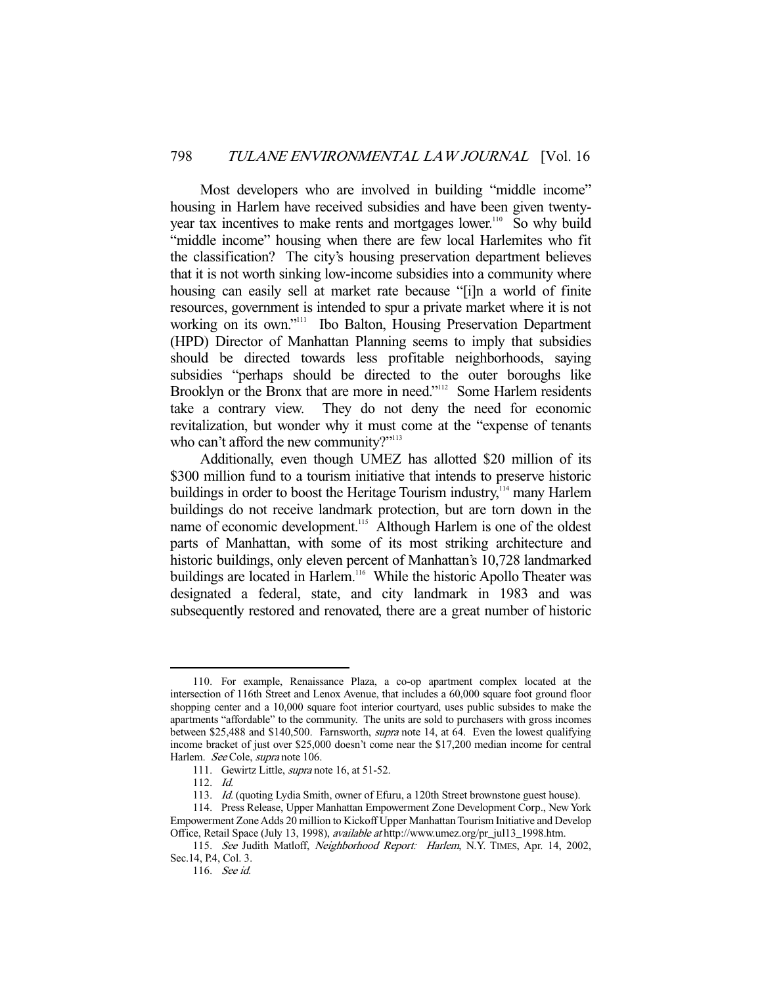Most developers who are involved in building "middle income" housing in Harlem have received subsidies and have been given twentyyear tax incentives to make rents and mortgages lower.<sup>110</sup> So why build "middle income" housing when there are few local Harlemites who fit the classification? The city's housing preservation department believes that it is not worth sinking low-income subsidies into a community where housing can easily sell at market rate because "[i]n a world of finite resources, government is intended to spur a private market where it is not working on its own."<sup>111</sup> Ibo Balton, Housing Preservation Department (HPD) Director of Manhattan Planning seems to imply that subsidies should be directed towards less profitable neighborhoods, saying subsidies "perhaps should be directed to the outer boroughs like Brooklyn or the Bronx that are more in need."<sup>112</sup> Some Harlem residents take a contrary view. They do not deny the need for economic revitalization, but wonder why it must come at the "expense of tenants who can't afford the new community?"<sup>113</sup>

 Additionally, even though UMEZ has allotted \$20 million of its \$300 million fund to a tourism initiative that intends to preserve historic buildings in order to boost the Heritage Tourism industry,<sup>114</sup> many Harlem buildings do not receive landmark protection, but are torn down in the name of economic development.<sup>115</sup> Although Harlem is one of the oldest parts of Manhattan, with some of its most striking architecture and historic buildings, only eleven percent of Manhattan's 10,728 landmarked buildings are located in Harlem.<sup>116</sup> While the historic Apollo Theater was designated a federal, state, and city landmark in 1983 and was subsequently restored and renovated, there are a great number of historic

 <sup>110.</sup> For example, Renaissance Plaza, a co-op apartment complex located at the intersection of 116th Street and Lenox Avenue, that includes a 60,000 square foot ground floor shopping center and a 10,000 square foot interior courtyard, uses public subsides to make the apartments "affordable" to the community. The units are sold to purchasers with gross incomes between \$25,488 and \$140,500. Farnsworth, supra note 14, at 64. Even the lowest qualifying income bracket of just over \$25,000 doesn't come near the \$17,200 median income for central Harlem. See Cole, supra note 106.

<sup>111.</sup> Gewirtz Little, *supra* note 16, at 51-52.

 <sup>112.</sup> Id.

<sup>113.</sup> Id. (quoting Lydia Smith, owner of Efuru, a 120th Street brownstone guest house).

 <sup>114.</sup> Press Release, Upper Manhattan Empowerment Zone Development Corp., New York Empowerment Zone Adds 20 million to Kickoff Upper Manhattan Tourism Initiative and Develop Office, Retail Space (July 13, 1998), available at http://www.umez.org/pr\_jul13\_1998.htm.

<sup>115.</sup> See Judith Matloff, Neighborhood Report: Harlem, N.Y. TIMES, Apr. 14, 2002, Sec.14, P.4, Col. 3.

 <sup>116.</sup> See id.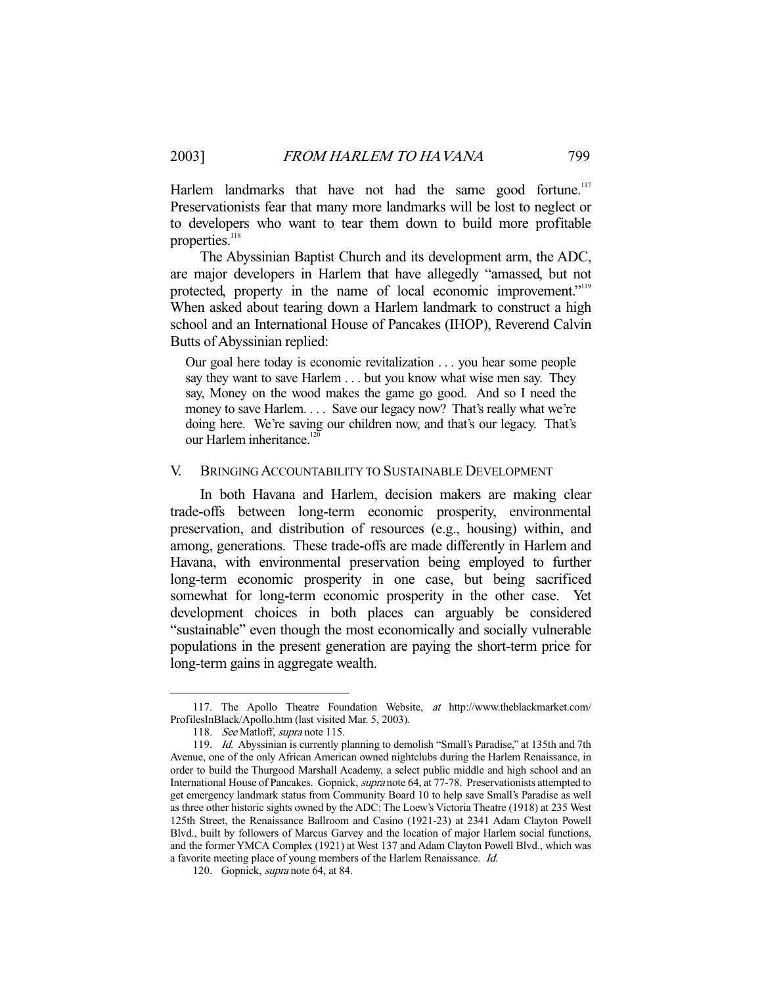Harlem landmarks that have not had the same good fortune.<sup>117</sup> Preservationists fear that many more landmarks will be lost to neglect or to developers who want to tear them down to build more profitable properties.<sup>118</sup>

 The Abyssinian Baptist Church and its development arm, the ADC, are major developers in Harlem that have allegedly "amassed, but not protected, property in the name of local economic improvement."119 When asked about tearing down a Harlem landmark to construct a high school and an International House of Pancakes (IHOP), Reverend Calvin Butts of Abyssinian replied:

Our goal here today is economic revitalization . . . you hear some people say they want to save Harlem . . . but you know what wise men say. They say, Money on the wood makes the game go good. And so I need the money to save Harlem. . . . Save our legacy now? That's really what we're doing here. We're saving our children now, and that's our legacy. That's our Harlem inheritance.<sup>12</sup>

# V. BRINGING ACCOUNTABILITY TO SUSTAINABLE DEVELOPMENT

 In both Havana and Harlem, decision makers are making clear trade-offs between long-term economic prosperity, environmental preservation, and distribution of resources (e.g., housing) within, and among, generations. These trade-offs are made differently in Harlem and Havana, with environmental preservation being employed to further long-term economic prosperity in one case, but being sacrificed somewhat for long-term economic prosperity in the other case. Yet development choices in both places can arguably be considered "sustainable" even though the most economically and socially vulnerable populations in the present generation are paying the short-term price for long-term gains in aggregate wealth.

 <sup>117.</sup> The Apollo Theatre Foundation Website, at http://www.theblackmarket.com/ ProfilesInBlack/Apollo.htm (last visited Mar. 5, 2003).

<sup>118.</sup> See Matloff, supra note 115.

<sup>119.</sup> Id. Abyssinian is currently planning to demolish "Small's Paradise," at 135th and 7th Avenue, one of the only African American owned nightclubs during the Harlem Renaissance, in order to build the Thurgood Marshall Academy, a select public middle and high school and an International House of Pancakes. Gopnick, supra note 64, at 77-78. Preservationists attempted to get emergency landmark status from Community Board 10 to help save Small's Paradise as well as three other historic sights owned by the ADC: The Loew's Victoria Theatre (1918) at 235 West 125th Street, the Renaissance Ballroom and Casino (1921-23) at 2341 Adam Clayton Powell Blvd., built by followers of Marcus Garvey and the location of major Harlem social functions, and the former YMCA Complex (1921) at West 137 and Adam Clayton Powell Blvd., which was a favorite meeting place of young members of the Harlem Renaissance. Id.

<sup>120.</sup> Gopnick, *supra* note 64, at 84.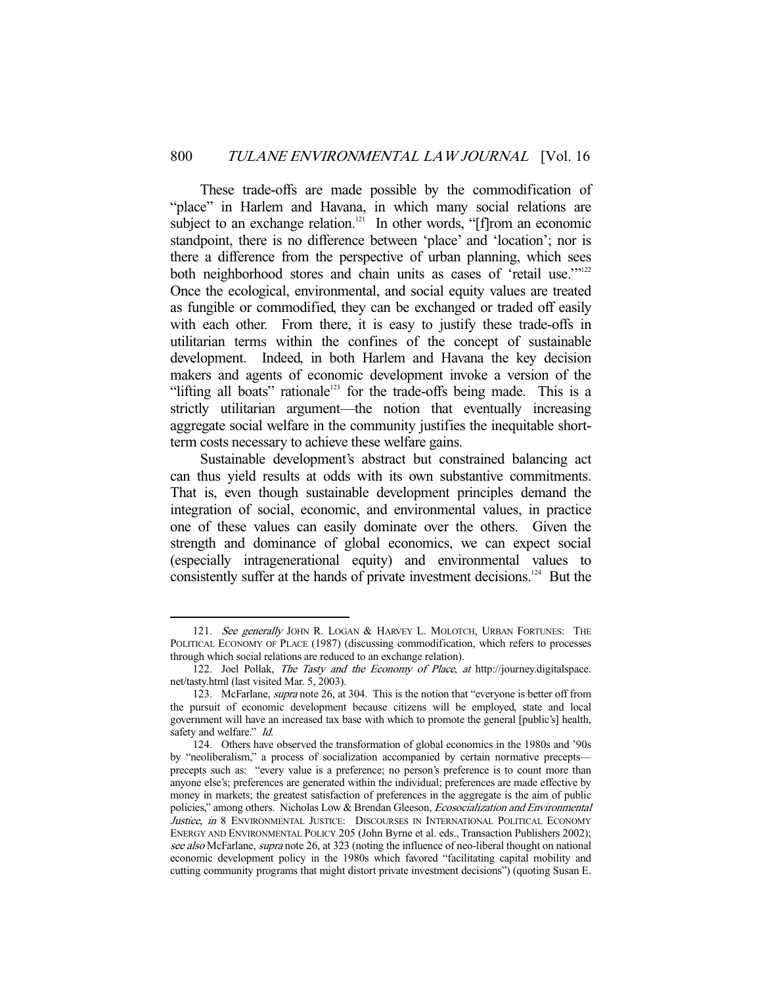These trade-offs are made possible by the commodification of "place" in Harlem and Havana, in which many social relations are subject to an exchange relation.<sup>121</sup> In other words, " $[f]$ rom an economic standpoint, there is no difference between 'place' and 'location'; nor is there a difference from the perspective of urban planning, which sees both neighborhood stores and chain units as cases of 'retail use."<sup>122</sup> Once the ecological, environmental, and social equity values are treated as fungible or commodified, they can be exchanged or traded off easily with each other. From there, it is easy to justify these trade-offs in utilitarian terms within the confines of the concept of sustainable development. Indeed, in both Harlem and Havana the key decision makers and agents of economic development invoke a version of the "lifting all boats" rationale<sup>123</sup> for the trade-offs being made. This is a strictly utilitarian argument—the notion that eventually increasing aggregate social welfare in the community justifies the inequitable shortterm costs necessary to achieve these welfare gains.

 Sustainable development's abstract but constrained balancing act can thus yield results at odds with its own substantive commitments. That is, even though sustainable development principles demand the integration of social, economic, and environmental values, in practice one of these values can easily dominate over the others. Given the strength and dominance of global economics, we can expect social (especially intragenerational equity) and environmental values to consistently suffer at the hands of private investment decisions.124 But the

<sup>121.</sup> See generally JOHN R. LOGAN & HARVEY L. MOLOTCH, URBAN FORTUNES: THE POLITICAL ECONOMY OF PLACE (1987) (discussing commodification, which refers to processes through which social relations are reduced to an exchange relation).

<sup>122.</sup> Joel Pollak, The Tasty and the Economy of Place, at http://journey.digitalspace. net/tasty.html (last visited Mar. 5, 2003).

<sup>123.</sup> McFarlane, *supra* note 26, at 304. This is the notion that "everyone is better off from the pursuit of economic development because citizens will be employed, state and local government will have an increased tax base with which to promote the general [public's] health, safety and welfare." Id.

 <sup>124.</sup> Others have observed the transformation of global economics in the 1980s and '90s by "neoliberalism," a process of socialization accompanied by certain normative precepts precepts such as: "every value is a preference; no person's preference is to count more than anyone else's; preferences are generated within the individual; preferences are made effective by money in markets; the greatest satisfaction of preferences in the aggregate is the aim of public policies," among others. Nicholas Low & Brendan Gleeson, Ecosocialization and Environmental Justice, in 8 ENVIRONMENTAL JUSTICE: DISCOURSES IN INTERNATIONAL POLITICAL ECONOMY ENERGY AND ENVIRONMENTAL POLICY 205 (John Byrne et al. eds., Transaction Publishers 2002); see also McFarlane, supra note 26, at 323 (noting the influence of neo-liberal thought on national economic development policy in the 1980s which favored "facilitating capital mobility and cutting community programs that might distort private investment decisions") (quoting Susan E.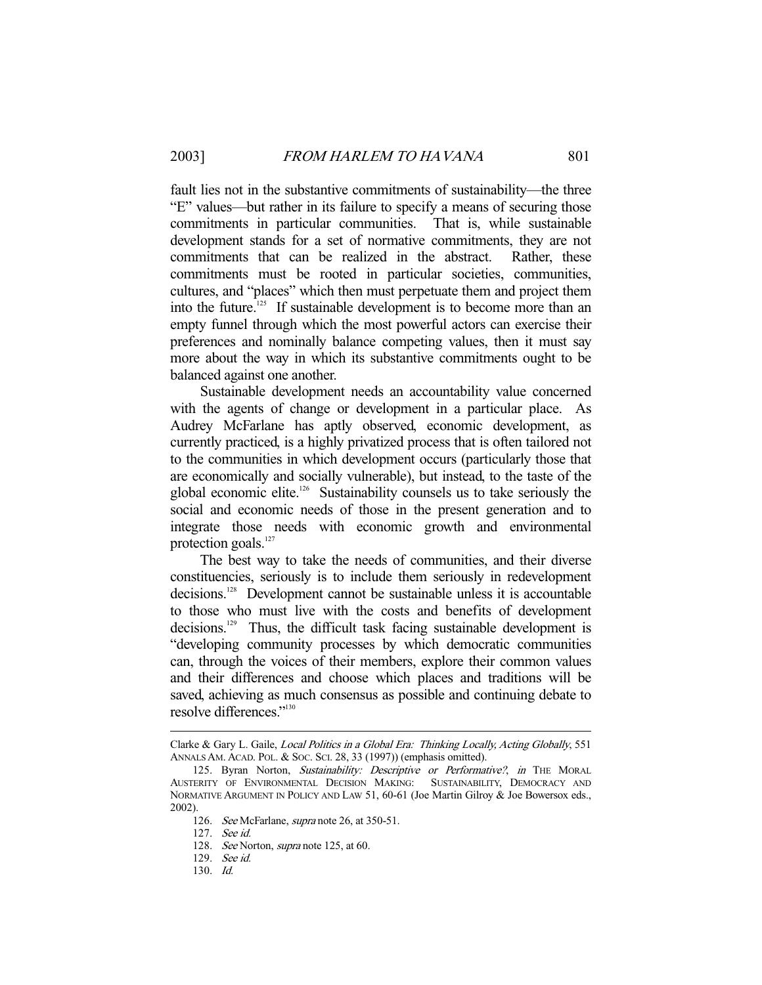fault lies not in the substantive commitments of sustainability—the three "E" values—but rather in its failure to specify a means of securing those commitments in particular communities. That is, while sustainable development stands for a set of normative commitments, they are not commitments that can be realized in the abstract. Rather, these commitments must be rooted in particular societies, communities, cultures, and "places" which then must perpetuate them and project them into the future.<sup>125</sup> If sustainable development is to become more than an empty funnel through which the most powerful actors can exercise their preferences and nominally balance competing values, then it must say more about the way in which its substantive commitments ought to be balanced against one another.

 Sustainable development needs an accountability value concerned with the agents of change or development in a particular place. As Audrey McFarlane has aptly observed, economic development, as currently practiced, is a highly privatized process that is often tailored not to the communities in which development occurs (particularly those that are economically and socially vulnerable), but instead, to the taste of the global economic elite.<sup>126</sup> Sustainability counsels us to take seriously the social and economic needs of those in the present generation and to integrate those needs with economic growth and environmental protection goals.<sup>127</sup>

 The best way to take the needs of communities, and their diverse constituencies, seriously is to include them seriously in redevelopment decisions.128 Development cannot be sustainable unless it is accountable to those who must live with the costs and benefits of development decisions.<sup>129</sup> Thus, the difficult task facing sustainable development is "developing community processes by which democratic communities can, through the voices of their members, explore their common values and their differences and choose which places and traditions will be saved, achieving as much consensus as possible and continuing debate to resolve differences."130

Clarke & Gary L. Gaile, Local Politics in a Global Era: Thinking Locally, Acting Globally, 551 ANNALS AM. ACAD. POL. & SOC. SCI. 28, 33 (1997)) (emphasis omitted).

<sup>125.</sup> Byran Norton, Sustainability: Descriptive or Performative?, in THE MORAL AUSTERITY OF ENVIRONMENTAL DECISION MAKING: SUSTAINABILITY, DEMOCRACY AND NORMATIVE ARGUMENT IN POLICY AND LAW 51, 60-61 (Joe Martin Gilroy & Joe Bowersox eds., 2002).

<sup>126.</sup> See McFarlane, *supra* note 26, at 350-51.

 <sup>127.</sup> See id.

<sup>128.</sup> See Norton, supra note 125, at 60.

 <sup>129.</sup> See id.

 <sup>130.</sup> Id.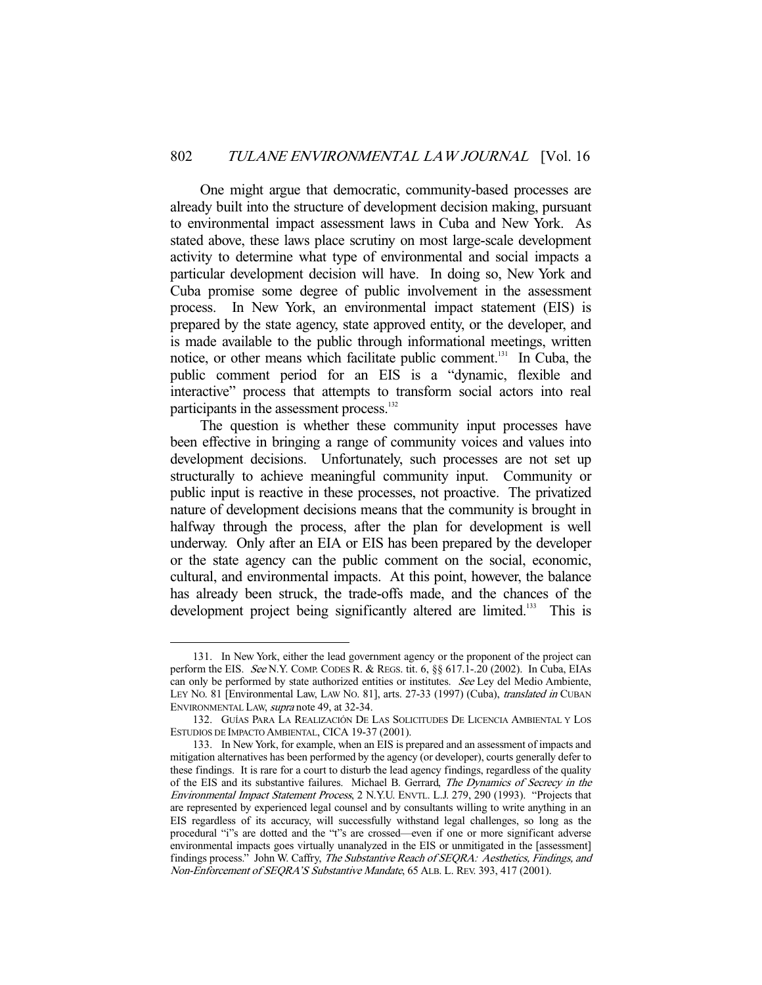One might argue that democratic, community-based processes are already built into the structure of development decision making, pursuant to environmental impact assessment laws in Cuba and New York. As stated above, these laws place scrutiny on most large-scale development activity to determine what type of environmental and social impacts a particular development decision will have. In doing so, New York and Cuba promise some degree of public involvement in the assessment process. In New York, an environmental impact statement (EIS) is prepared by the state agency, state approved entity, or the developer, and is made available to the public through informational meetings, written notice, or other means which facilitate public comment.131 In Cuba, the public comment period for an EIS is a "dynamic, flexible and interactive" process that attempts to transform social actors into real participants in the assessment process.<sup>132</sup>

 The question is whether these community input processes have been effective in bringing a range of community voices and values into development decisions. Unfortunately, such processes are not set up structurally to achieve meaningful community input. Community or public input is reactive in these processes, not proactive. The privatized nature of development decisions means that the community is brought in halfway through the process, after the plan for development is well underway. Only after an EIA or EIS has been prepared by the developer or the state agency can the public comment on the social, economic, cultural, and environmental impacts. At this point, however, the balance has already been struck, the trade-offs made, and the chances of the development project being significantly altered are limited.<sup>133</sup> This is

 <sup>131.</sup> In New York, either the lead government agency or the proponent of the project can perform the EIS. See N.Y. COMP. CODES R. & REGS. tit. 6, §§ 617.1-.20 (2002). In Cuba, EIAs can only be performed by state authorized entities or institutes. See Ley del Medio Ambiente, LEY NO. 81 [Environmental Law, LAW NO. 81], arts. 27-33 (1997) (Cuba), translated in CUBAN ENVIRONMENTAL LAW, supra note 49, at 32-34.

 <sup>132.</sup> GUÍAS PARA LA REALIZACIÓN DE LAS SOLICITUDES DE LICENCIA AMBIENTAL Y LOS ESTUDIOS DE IMPACTO AMBIENTAL, CICA 19-37 (2001).

 <sup>133.</sup> In New York, for example, when an EIS is prepared and an assessment of impacts and mitigation alternatives has been performed by the agency (or developer), courts generally defer to these findings. It is rare for a court to disturb the lead agency findings, regardless of the quality of the EIS and its substantive failures. Michael B. Gerrard, The Dynamics of Secrecy in the Environmental Impact Statement Process, 2 N.Y.U. ENVTL. L.J. 279, 290 (1993). "Projects that are represented by experienced legal counsel and by consultants willing to write anything in an EIS regardless of its accuracy, will successfully withstand legal challenges, so long as the procedural "i"s are dotted and the "t"s are crossed—even if one or more significant adverse environmental impacts goes virtually unanalyzed in the EIS or unmitigated in the [assessment] findings process." John W. Caffry, The Substantive Reach of SEQRA: Aesthetics, Findings, and Non-Enforcement of SEQRA'S Substantive Mandate, 65 ALB. L. REV. 393, 417 (2001).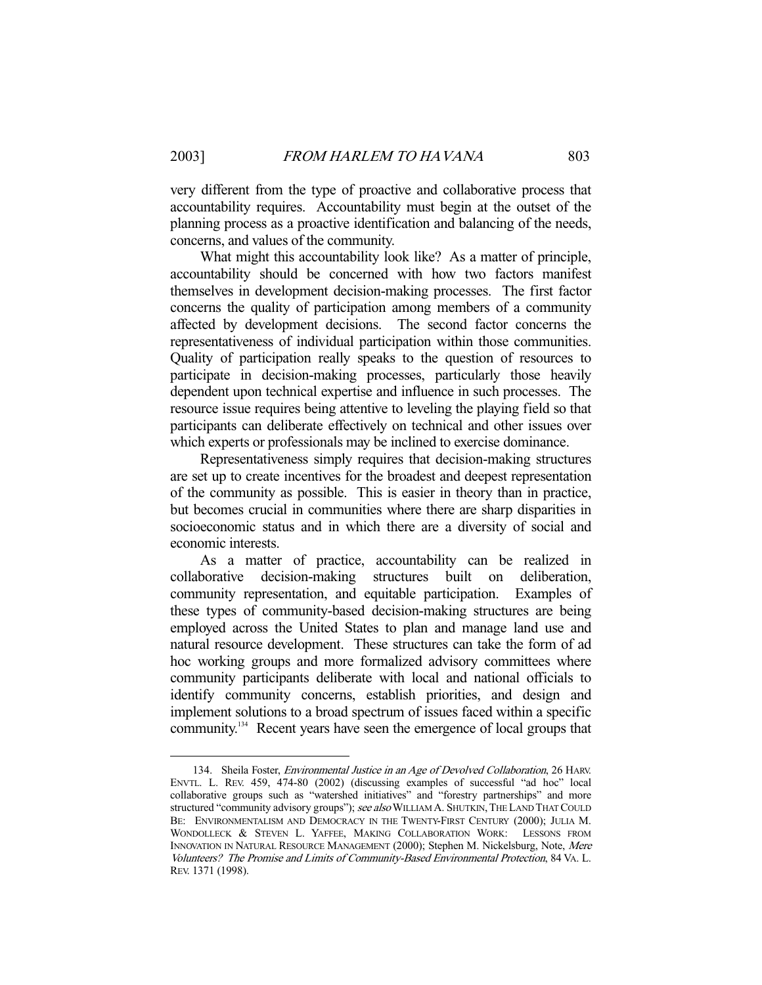very different from the type of proactive and collaborative process that accountability requires. Accountability must begin at the outset of the planning process as a proactive identification and balancing of the needs, concerns, and values of the community.

 What might this accountability look like? As a matter of principle, accountability should be concerned with how two factors manifest themselves in development decision-making processes. The first factor concerns the quality of participation among members of a community affected by development decisions. The second factor concerns the representativeness of individual participation within those communities. Quality of participation really speaks to the question of resources to participate in decision-making processes, particularly those heavily dependent upon technical expertise and influence in such processes. The resource issue requires being attentive to leveling the playing field so that participants can deliberate effectively on technical and other issues over which experts or professionals may be inclined to exercise dominance.

 Representativeness simply requires that decision-making structures are set up to create incentives for the broadest and deepest representation of the community as possible. This is easier in theory than in practice, but becomes crucial in communities where there are sharp disparities in socioeconomic status and in which there are a diversity of social and economic interests.

 As a matter of practice, accountability can be realized in collaborative decision-making structures built on deliberation, community representation, and equitable participation. Examples of these types of community-based decision-making structures are being employed across the United States to plan and manage land use and natural resource development. These structures can take the form of ad hoc working groups and more formalized advisory committees where community participants deliberate with local and national officials to identify community concerns, establish priorities, and design and implement solutions to a broad spectrum of issues faced within a specific community.134 Recent years have seen the emergence of local groups that

<sup>134.</sup> Sheila Foster, *Environmental Justice in an Age of Devolved Collaboration*, 26 HARV. ENVTL. L. REV. 459, 474-80 (2002) (discussing examples of successful "ad hoc" local collaborative groups such as "watershed initiatives" and "forestry partnerships" and more structured "community advisory groups"); see also WILLIAM A. SHUTKIN, THE LAND THAT COULD BE: ENVIRONMENTALISM AND DEMOCRACY IN THE TWENTY-FIRST CENTURY (2000); JULIA M. WONDOLLECK & STEVEN L. YAFFEE, MAKING COLLABORATION WORK: LESSONS FROM INNOVATION IN NATURAL RESOURCE MANAGEMENT (2000); Stephen M. Nickelsburg, Note, Mere Volunteers? The Promise and Limits of Community-Based Environmental Protection, 84 VA. L. REV. 1371 (1998).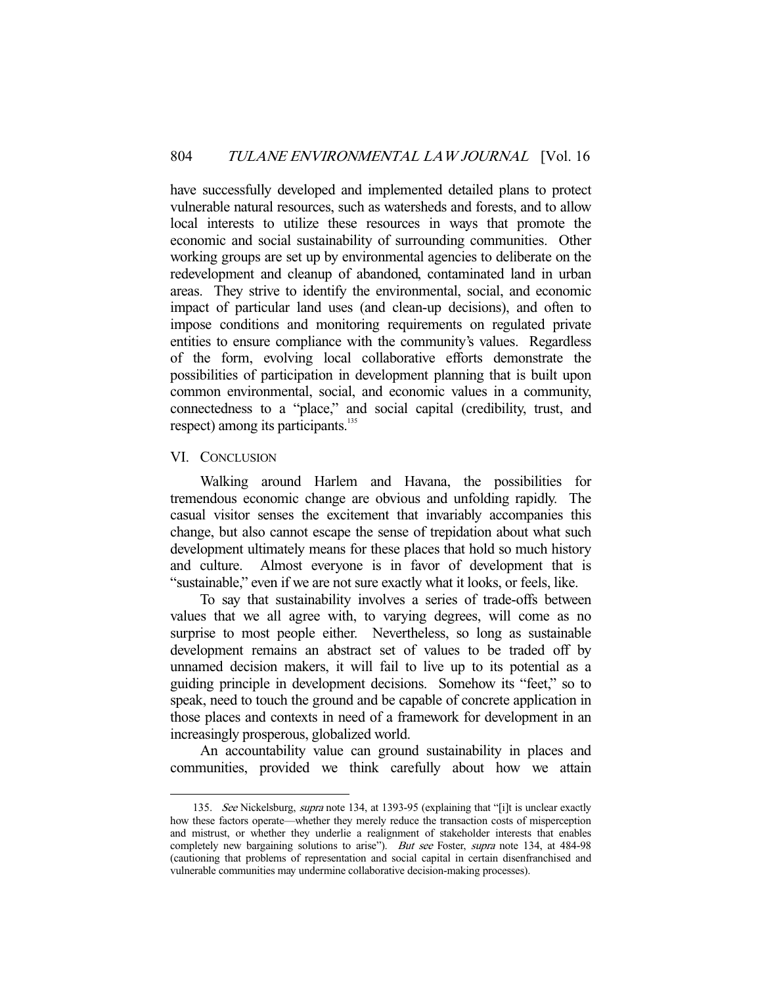have successfully developed and implemented detailed plans to protect vulnerable natural resources, such as watersheds and forests, and to allow local interests to utilize these resources in ways that promote the economic and social sustainability of surrounding communities. Other working groups are set up by environmental agencies to deliberate on the redevelopment and cleanup of abandoned, contaminated land in urban areas. They strive to identify the environmental, social, and economic impact of particular land uses (and clean-up decisions), and often to impose conditions and monitoring requirements on regulated private entities to ensure compliance with the community's values. Regardless of the form, evolving local collaborative efforts demonstrate the possibilities of participation in development planning that is built upon common environmental, social, and economic values in a community, connectedness to a "place," and social capital (credibility, trust, and respect) among its participants.<sup>135</sup>

# VI. CONCLUSION

-

 Walking around Harlem and Havana, the possibilities for tremendous economic change are obvious and unfolding rapidly. The casual visitor senses the excitement that invariably accompanies this change, but also cannot escape the sense of trepidation about what such development ultimately means for these places that hold so much history and culture. Almost everyone is in favor of development that is "sustainable," even if we are not sure exactly what it looks, or feels, like.

 To say that sustainability involves a series of trade-offs between values that we all agree with, to varying degrees, will come as no surprise to most people either. Nevertheless, so long as sustainable development remains an abstract set of values to be traded off by unnamed decision makers, it will fail to live up to its potential as a guiding principle in development decisions. Somehow its "feet," so to speak, need to touch the ground and be capable of concrete application in those places and contexts in need of a framework for development in an increasingly prosperous, globalized world.

 An accountability value can ground sustainability in places and communities, provided we think carefully about how we attain

<sup>135.</sup> See Nickelsburg, supra note 134, at 1393-95 (explaining that "[i]t is unclear exactly how these factors operate—whether they merely reduce the transaction costs of misperception and mistrust, or whether they underlie a realignment of stakeholder interests that enables completely new bargaining solutions to arise"). But see Foster, supra note 134, at 484-98 (cautioning that problems of representation and social capital in certain disenfranchised and vulnerable communities may undermine collaborative decision-making processes).